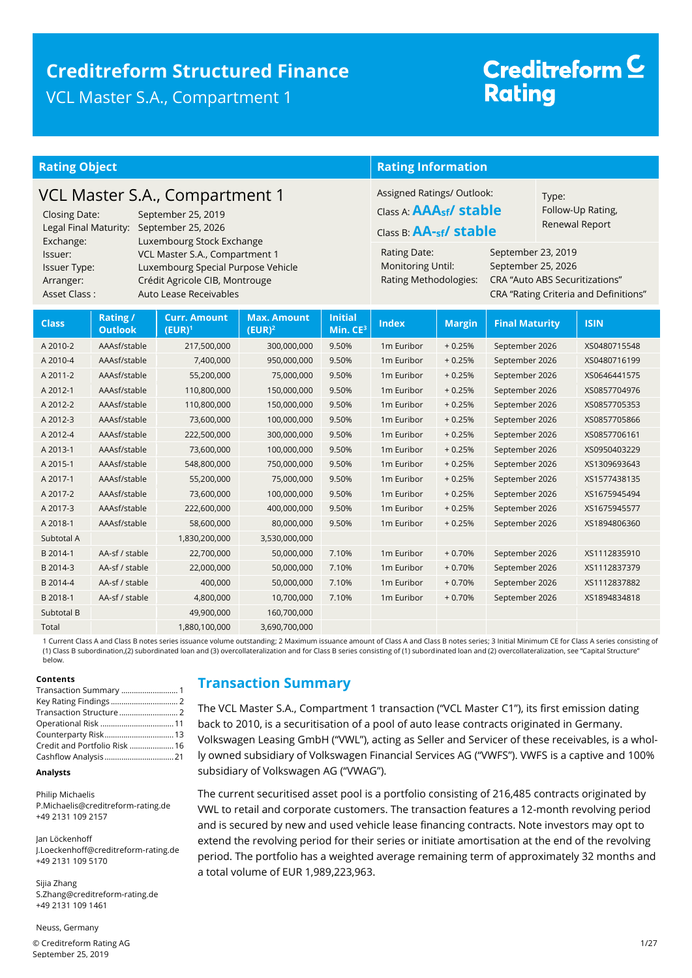### **Creditreform Structured Finance** VCL Master S.A., Compartment 1

## Creditreform<sup>C</sup> **Rating**

| <b>Rating Object</b>                                                                                                                                                                                                                                                                                                                                              |                            |                                  |                                                     | <b>Rating Information</b>                                                                                                                                                                                                                                                                                                                                            |                        |               |                       |  |              |
|-------------------------------------------------------------------------------------------------------------------------------------------------------------------------------------------------------------------------------------------------------------------------------------------------------------------------------------------------------------------|----------------------------|----------------------------------|-----------------------------------------------------|----------------------------------------------------------------------------------------------------------------------------------------------------------------------------------------------------------------------------------------------------------------------------------------------------------------------------------------------------------------------|------------------------|---------------|-----------------------|--|--------------|
| VCL Master S.A., Compartment 1<br><b>Closing Date:</b><br>September 25, 2019<br>Legal Final Maturity:<br>September 25, 2026<br>Exchange:<br>Luxembourg Stock Exchange<br>VCL Master S.A., Compartment 1<br>Issuer:<br>Luxembourg Special Purpose Vehicle<br>Issuer Type:<br>Crédit Agricole CIB, Montrouge<br>Arranger:<br>Asset Class:<br>Auto Lease Receivables |                            |                                  |                                                     | Assigned Ratings/ Outlook:<br>Type:<br>Class A: $\mathbf{A} \mathbf{A} \mathbf{A}_{\mathsf{sf}}$ stable<br>Follow-Up Rating,<br>Renewal Report<br>Class B: AA-sf/ stable<br>September 23, 2019<br>Rating Date:<br>Monitoring Until:<br>September 25, 2026<br><b>CRA "Auto ABS Securitizations"</b><br>Rating Methodologies:<br>CRA "Rating Criteria and Definitions" |                        |               |                       |  |              |
| <b>Class</b>                                                                                                                                                                                                                                                                                                                                                      | Rating /<br><b>Outlook</b> | <b>Curr. Amount</b><br>$(EUR)^1$ | <b>Max. Amount</b><br>$\overline{(\mathsf{EUR})^2}$ | <b>Initial</b><br>Min. CE <sup>3</sup>                                                                                                                                                                                                                                                                                                                               | <b>Index</b>           | <b>Margin</b> | <b>Final Maturity</b> |  | <b>ISIN</b>  |
| A 2010-2                                                                                                                                                                                                                                                                                                                                                          | AAAsf/stable               | 217,500,000                      | 300,000,000                                         | 9.50%                                                                                                                                                                                                                                                                                                                                                                | 1m Euribor             | $+0.25%$      | September 2026        |  | XS0480715548 |
| A 2010-4                                                                                                                                                                                                                                                                                                                                                          | AAAsf/stable               | 7,400,000                        | 950,000,000                                         | 9.50%                                                                                                                                                                                                                                                                                                                                                                | 1m Euribor             | $+0.25%$      | September 2026        |  | XS0480716199 |
| A 2011-2                                                                                                                                                                                                                                                                                                                                                          | AAAsf/stable               | 55,200,000                       | 75,000,000                                          | 9.50%                                                                                                                                                                                                                                                                                                                                                                | 1 <sub>m</sub> Euribor | $+0.25%$      | September 2026        |  | XS0646441575 |
| A 2012-1                                                                                                                                                                                                                                                                                                                                                          | AAAsf/stable               | 110,800,000                      | 150,000,000                                         | 9.50%                                                                                                                                                                                                                                                                                                                                                                | 1 <sub>m</sub> Euribor | $+0.25%$      | September 2026        |  | XS0857704976 |
| A 2012-2                                                                                                                                                                                                                                                                                                                                                          | AAAsf/stable               | 110,800,000                      | 150,000,000                                         | 9.50%                                                                                                                                                                                                                                                                                                                                                                | 1 <sub>m</sub> Euribor | $+0.25%$      | September 2026        |  | XS0857705353 |
| A 2012-3                                                                                                                                                                                                                                                                                                                                                          | AAAsf/stable               | 73,600,000                       | 100,000,000                                         | 9.50%                                                                                                                                                                                                                                                                                                                                                                | 1 <sub>m</sub> Euribor | $+0.25%$      | September 2026        |  | XS0857705866 |
| A 2012-4                                                                                                                                                                                                                                                                                                                                                          | AAAsf/stable               | 222,500,000                      | 300,000,000                                         | 9.50%                                                                                                                                                                                                                                                                                                                                                                | 1m Euribor             | $+0.25%$      | September 2026        |  | XS0857706161 |
| A 2013-1                                                                                                                                                                                                                                                                                                                                                          | AAAsf/stable               | 73,600,000                       | 100,000,000                                         | 9.50%                                                                                                                                                                                                                                                                                                                                                                | 1m Euribor             | $+0.25%$      | September 2026        |  | XS0950403229 |
| A 2015-1                                                                                                                                                                                                                                                                                                                                                          | AAAsf/stable               | 548,800,000                      | 750,000,000                                         | 9.50%                                                                                                                                                                                                                                                                                                                                                                | 1m Euribor             | $+0.25%$      | September 2026        |  | XS1309693643 |
| A 2017-1                                                                                                                                                                                                                                                                                                                                                          | AAAsf/stable               | 55,200,000                       | 75,000,000                                          | 9.50%                                                                                                                                                                                                                                                                                                                                                                | 1 <sub>m</sub> Euribor | $+0.25%$      | September 2026        |  | XS1577438135 |
| A 2017-2                                                                                                                                                                                                                                                                                                                                                          | AAAsf/stable               | 73,600,000                       | 100,000,000                                         | 9.50%                                                                                                                                                                                                                                                                                                                                                                | 1 <sub>m</sub> Euribor | $+0.25%$      | September 2026        |  | XS1675945494 |
| A 2017-3                                                                                                                                                                                                                                                                                                                                                          | AAAsf/stable               | 222,600,000                      | 400,000,000                                         | 9.50%                                                                                                                                                                                                                                                                                                                                                                | 1 <sub>m</sub> Euribor | $+0.25%$      | September 2026        |  | XS1675945577 |
| A 2018-1                                                                                                                                                                                                                                                                                                                                                          | AAAsf/stable               | 58,600,000                       | 80,000,000                                          | 9.50%                                                                                                                                                                                                                                                                                                                                                                | 1m Euribor             | $+0.25%$      | September 2026        |  | XS1894806360 |
| Subtotal A                                                                                                                                                                                                                                                                                                                                                        |                            | 1,830,200,000                    | 3,530,000,000                                       |                                                                                                                                                                                                                                                                                                                                                                      |                        |               |                       |  |              |
| B 2014-1                                                                                                                                                                                                                                                                                                                                                          | AA-sf / stable             | 22,700,000                       | 50,000,000                                          | 7.10%                                                                                                                                                                                                                                                                                                                                                                | 1m Euribor             | $+0.70%$      | September 2026        |  | XS1112835910 |
| B 2014-3                                                                                                                                                                                                                                                                                                                                                          | AA-sf / stable             | 22,000,000                       | 50,000,000                                          | 7.10%                                                                                                                                                                                                                                                                                                                                                                | 1 <sub>m</sub> Euribor | $+0.70%$      | September 2026        |  | XS1112837379 |
| B 2014-4                                                                                                                                                                                                                                                                                                                                                          | AA-sf / stable             | 400,000                          | 50,000,000                                          | 7.10%                                                                                                                                                                                                                                                                                                                                                                | 1m Euribor             | $+0.70%$      | September 2026        |  | XS1112837882 |
| B 2018-1                                                                                                                                                                                                                                                                                                                                                          | AA-sf / stable             | 4,800,000                        | 10,700,000                                          | 7.10%                                                                                                                                                                                                                                                                                                                                                                | 1m Euribor             | $+0.70%$      | September 2026        |  | XS1894834818 |
| Subtotal B                                                                                                                                                                                                                                                                                                                                                        |                            | 49,900,000                       | 160,700,000                                         |                                                                                                                                                                                                                                                                                                                                                                      |                        |               |                       |  |              |
| Total                                                                                                                                                                                                                                                                                                                                                             |                            | 1,880,100,000                    | 3,690,700,000                                       |                                                                                                                                                                                                                                                                                                                                                                      |                        |               |                       |  |              |

1 Current Class A and Class B notes series issuance volume outstanding; 2 Maximum issuance amount of Class A and Class B notes series; 3 Initial Minimum CE for Class A series consisting of (1) Class B subordination,(2) subordinated loan and (3) overcollateralization and for Class B series consisting of (1) subordinated loan and (2) overcollateralization, see "Capital Structure" below.

#### **Contents**

| Transaction Summary  1        |  |
|-------------------------------|--|
|                               |  |
|                               |  |
|                               |  |
| Counterparty Risk 13          |  |
| Credit and Portfolio Risk  16 |  |
|                               |  |

#### **Analysts**

Philip Michaelis P.Michaelis@creditreform-rating.de +49 2131 109 2157

Jan Löckenhoff J.Loeckenhoff@creditreform-rating.de +49 2131 109 5170

Sijia Zhang S.Zhang@creditreform-rating.de +49 2131 109 1461

Neuss, Germany

© Creditreform Rating AG 1/27 September 25, 2019

### <span id="page-0-0"></span>**Transaction Summary**

The VCL Master S.A., Compartment 1 transaction ("VCL Master C1"), its first emission dating back to 2010, is a securitisation of a pool of auto lease contracts originated in Germany. Volkswagen Leasing GmbH ("VWL"), acting as Seller and Servicer of these receivables, is a wholly owned subsidiary of Volkswagen Financial Services AG ("VWFS"). VWFS is a captive and 100% subsidiary of Volkswagen AG ("VWAG").

The current securitised asset pool is a portfolio consisting of 216,485 contracts originated by VWL to retail and corporate customers. The transaction features a 12-month revolving period and is secured by new and used vehicle lease financing contracts. Note investors may opt to extend the revolving period for their series or initiate amortisation at the end of the revolving period. The portfolio has a weighted average remaining term of approximately 32 months and a total volume of EUR 1,989,223,963.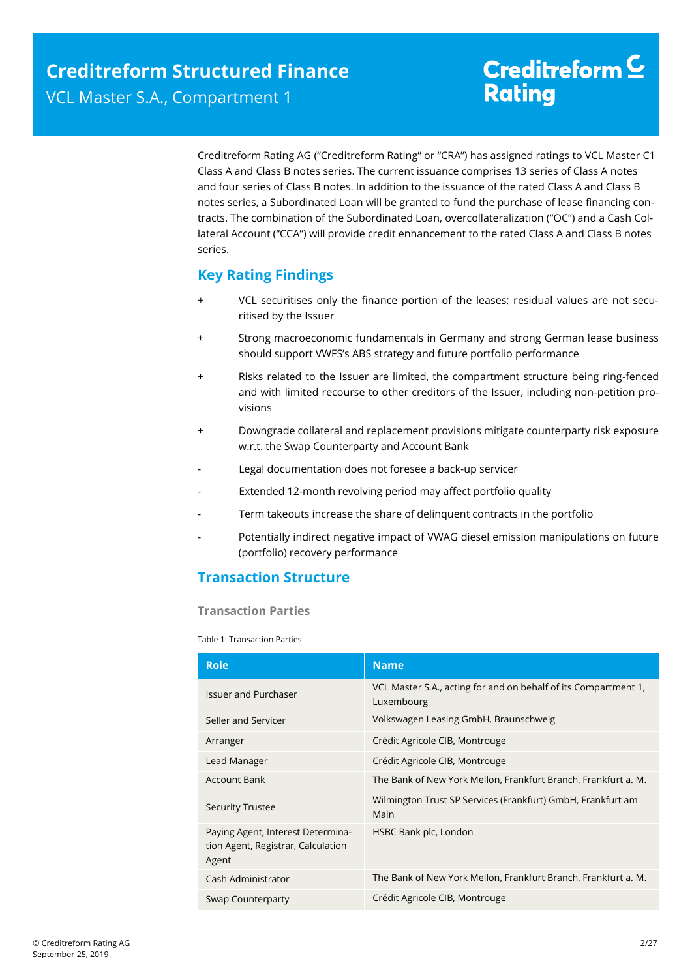Creditreform Rating AG ("Creditreform Rating" or "CRA") has assigned ratings to VCL Master C1 Class A and Class B notes series. The current issuance comprises 13 series of Class A notes and four series of Class B notes. In addition to the issuance of the rated Class A and Class B notes series, a Subordinated Loan will be granted to fund the purchase of lease financing contracts. The combination of the Subordinated Loan, overcollateralization ("OC") and a Cash Collateral Account ("CCA") will provide credit enhancement to the rated Class A and Class B notes series.

### <span id="page-1-0"></span>**Key Rating Findings**

- VCL securitises only the finance portion of the leases; residual values are not securitised by the Issuer
- Strong macroeconomic fundamentals in Germany and strong German lease business should support VWFS's ABS strategy and future portfolio performance
- + Risks related to the Issuer are limited, the compartment structure being ring-fenced and with limited recourse to other creditors of the Issuer, including non-petition provisions
- + Downgrade collateral and replacement provisions mitigate counterparty risk exposure w.r.t. the Swap Counterparty and Account Bank
- Legal documentation does not foresee a back-up servicer
- Extended 12-month revolving period may affect portfolio quality
- Term takeouts increase the share of delinquent contracts in the portfolio
- <span id="page-1-1"></span>Potentially indirect negative impact of VWAG diesel emission manipulations on future (portfolio) recovery performance

### **Transaction Structure**

**Transaction Parties**

Table 1: Transaction Parties

| <b>Role</b>                                                                      | <b>Name</b>                                                                   |  |
|----------------------------------------------------------------------------------|-------------------------------------------------------------------------------|--|
| <b>Issuer and Purchaser</b>                                                      | VCL Master S.A., acting for and on behalf of its Compartment 1,<br>Luxembourg |  |
| Seller and Servicer                                                              | Volkswagen Leasing GmbH, Braunschweig                                         |  |
| Arranger                                                                         | Crédit Agricole CIB, Montrouge                                                |  |
| Lead Manager                                                                     | Crédit Agricole CIB, Montrouge                                                |  |
| Account Bank                                                                     | The Bank of New York Mellon, Frankfurt Branch, Frankfurt a. M.                |  |
| <b>Security Trustee</b>                                                          | Wilmington Trust SP Services (Frankfurt) GmbH, Frankfurt am<br>Main           |  |
| Paying Agent, Interest Determina-<br>tion Agent, Registrar, Calculation<br>Agent | HSBC Bank plc, London                                                         |  |
| Cash Administrator                                                               | The Bank of New York Mellon, Frankfurt Branch, Frankfurt a. M.                |  |
| Swap Counterparty                                                                | Crédit Agricole CIB, Montrouge                                                |  |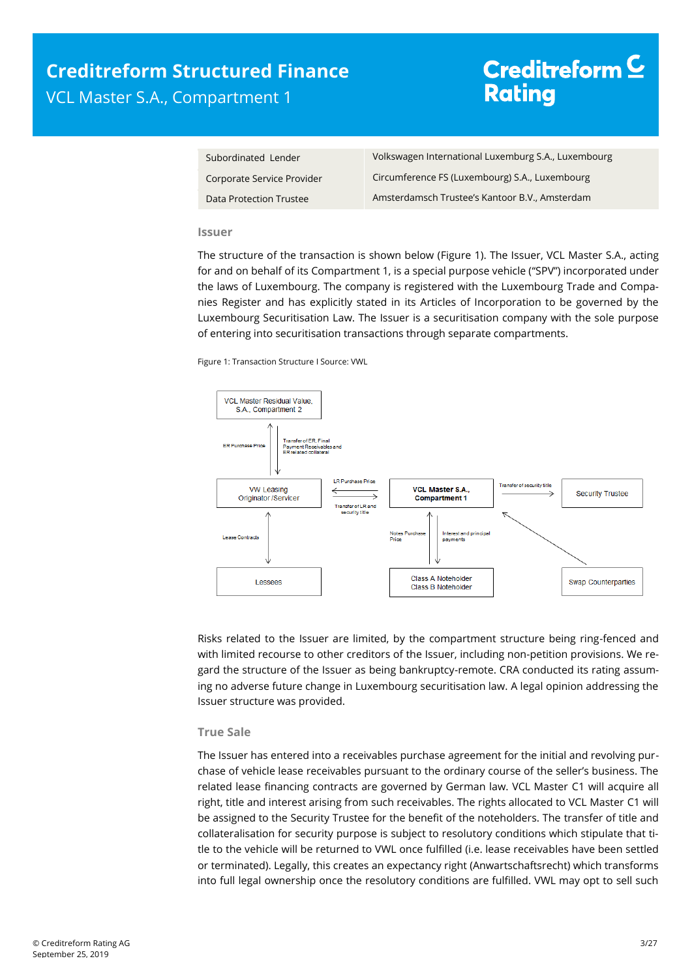| Subordinated Lender        | Volkswagen International Luxemburg S.A., Luxembourg |
|----------------------------|-----------------------------------------------------|
| Corporate Service Provider | Circumference FS (Luxembourg) S.A., Luxembourg      |
| Data Protection Trustee    | Amsterdamsch Trustee's Kantoor B.V., Amsterdam      |

#### **Issuer**

The structure of the transaction is shown below [\(Figure 1\)](#page-2-0). The Issuer, VCL Master S.A., acting for and on behalf of its Compartment 1, is a special purpose vehicle ("SPV") incorporated under the laws of Luxembourg. The company is registered with the Luxembourg Trade and Companies Register and has explicitly stated in its Articles of Incorporation to be governed by the Luxembourg Securitisation Law. The Issuer is a securitisation company with the sole purpose of entering into securitisation transactions through separate compartments.

<span id="page-2-0"></span>Figure 1: Transaction Structure I Source: VWL



Risks related to the Issuer are limited, by the compartment structure being ring-fenced and with limited recourse to other creditors of the Issuer, including non-petition provisions. We regard the structure of the Issuer as being bankruptcy-remote. CRA conducted its rating assuming no adverse future change in Luxembourg securitisation law. A legal opinion addressing the Issuer structure was provided.

#### **True Sale**

The Issuer has entered into a receivables purchase agreement for the initial and revolving purchase of vehicle lease receivables pursuant to the ordinary course of the seller's business. The related lease financing contracts are governed by German law. VCL Master C1 will acquire all right, title and interest arising from such receivables. The rights allocated to VCL Master C1 will be assigned to the Security Trustee for the benefit of the noteholders. The transfer of title and collateralisation for security purpose is subject to resolutory conditions which stipulate that title to the vehicle will be returned to VWL once fulfilled (i.e. lease receivables have been settled or terminated). Legally, this creates an expectancy right (Anwartschaftsrecht) which transforms into full legal ownership once the resolutory conditions are fulfilled. VWL may opt to sell such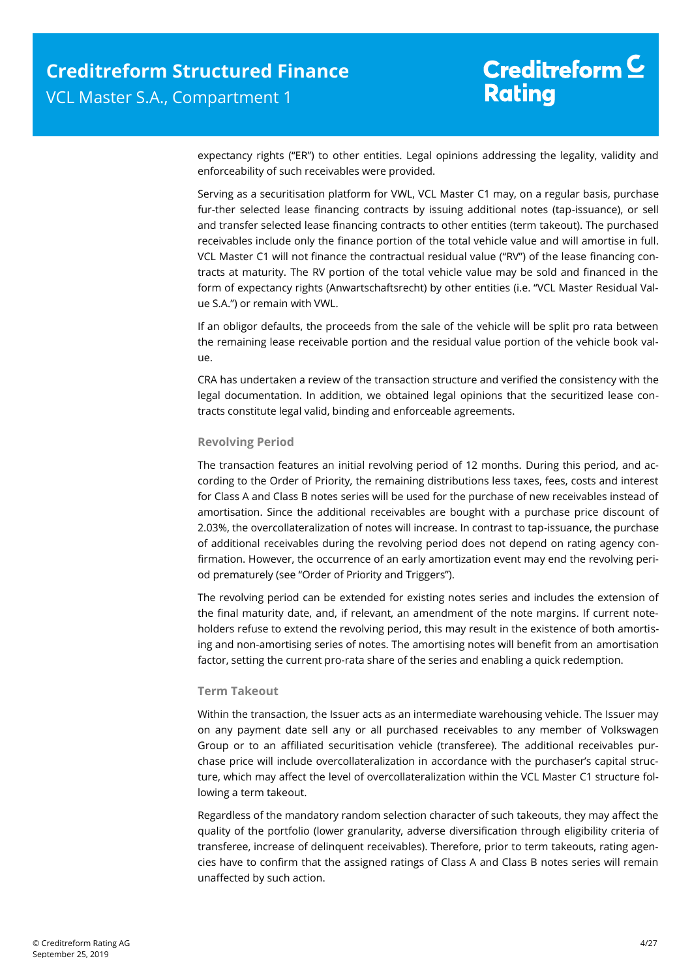expectancy rights ("ER") to other entities. Legal opinions addressing the legality, validity and enforceability of such receivables were provided.

Serving as a securitisation platform for VWL, VCL Master C1 may, on a regular basis, purchase fur-ther selected lease financing contracts by issuing additional notes (tap-issuance), or sell and transfer selected lease financing contracts to other entities (term takeout). The purchased receivables include only the finance portion of the total vehicle value and will amortise in full. VCL Master C1 will not finance the contractual residual value ("RV") of the lease financing contracts at maturity. The RV portion of the total vehicle value may be sold and financed in the form of expectancy rights (Anwartschaftsrecht) by other entities (i.e. "VCL Master Residual Value S.A.") or remain with VWL.

If an obligor defaults, the proceeds from the sale of the vehicle will be split pro rata between the remaining lease receivable portion and the residual value portion of the vehicle book value.

CRA has undertaken a review of the transaction structure and verified the consistency with the legal documentation. In addition, we obtained legal opinions that the securitized lease contracts constitute legal valid, binding and enforceable agreements.

#### **Revolving Period**

The transaction features an initial revolving period of 12 months. During this period, and according to the Order of Priority, the remaining distributions less taxes, fees, costs and interest for Class A and Class B notes series will be used for the purchase of new receivables instead of amortisation. Since the additional receivables are bought with a purchase price discount of 2.03%, the overcollateralization of notes will increase. In contrast to tap-issuance, the purchase of additional receivables during the revolving period does not depend on rating agency confirmation. However, the occurrence of an early amortization event may end the revolving period prematurely (see "Order of Priority and Triggers").

The revolving period can be extended for existing notes series and includes the extension of the final maturity date, and, if relevant, an amendment of the note margins. If current noteholders refuse to extend the revolving period, this may result in the existence of both amortising and non-amortising series of notes. The amortising notes will benefit from an amortisation factor, setting the current pro-rata share of the series and enabling a quick redemption.

#### **Term Takeout**

Within the transaction, the Issuer acts as an intermediate warehousing vehicle. The Issuer may on any payment date sell any or all purchased receivables to any member of Volkswagen Group or to an affiliated securitisation vehicle (transferee). The additional receivables purchase price will include overcollateralization in accordance with the purchaser's capital structure, which may affect the level of overcollateralization within the VCL Master C1 structure following a term takeout.

Regardless of the mandatory random selection character of such takeouts, they may affect the quality of the portfolio (lower granularity, adverse diversification through eligibility criteria of transferee, increase of delinquent receivables). Therefore, prior to term takeouts, rating agencies have to confirm that the assigned ratings of Class A and Class B notes series will remain unaffected by such action.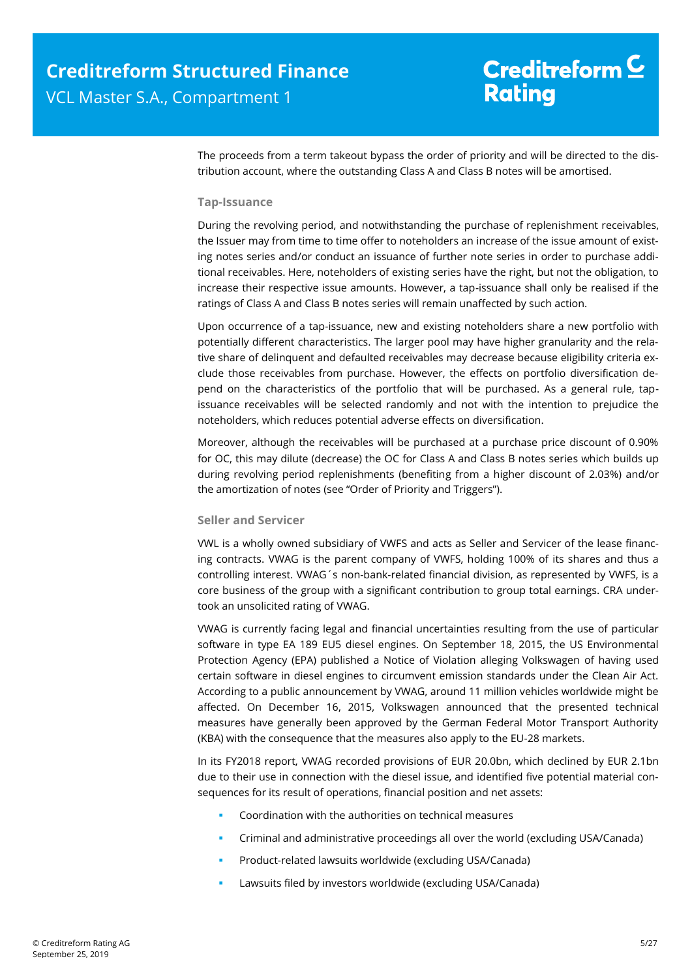The proceeds from a term takeout bypass the order of priority and will be directed to the distribution account, where the outstanding Class A and Class B notes will be amortised.

#### **Tap-Issuance**

During the revolving period, and notwithstanding the purchase of replenishment receivables, the Issuer may from time to time offer to noteholders an increase of the issue amount of existing notes series and/or conduct an issuance of further note series in order to purchase additional receivables. Here, noteholders of existing series have the right, but not the obligation, to increase their respective issue amounts. However, a tap-issuance shall only be realised if the ratings of Class A and Class B notes series will remain unaffected by such action.

Upon occurrence of a tap-issuance, new and existing noteholders share a new portfolio with potentially different characteristics. The larger pool may have higher granularity and the relative share of delinquent and defaulted receivables may decrease because eligibility criteria exclude those receivables from purchase. However, the effects on portfolio diversification depend on the characteristics of the portfolio that will be purchased. As a general rule, tapissuance receivables will be selected randomly and not with the intention to prejudice the noteholders, which reduces potential adverse effects on diversification.

Moreover, although the receivables will be purchased at a purchase price discount of 0.90% for OC, this may dilute (decrease) the OC for Class A and Class B notes series which builds up during revolving period replenishments (benefiting from a higher discount of 2.03%) and/or the amortization of notes (see "Order of Priority and Triggers").

#### **Seller and Servicer**

VWL is a wholly owned subsidiary of VWFS and acts as Seller and Servicer of the lease financing contracts. VWAG is the parent company of VWFS, holding 100% of its shares and thus a controlling interest. VWAG´s non-bank-related financial division, as represented by VWFS, is a core business of the group with a significant contribution to group total earnings. CRA undertook an unsolicited rating of VWAG.

VWAG is currently facing legal and financial uncertainties resulting from the use of particular software in type EA 189 EU5 diesel engines. On September 18, 2015, the US Environmental Protection Agency (EPA) published a Notice of Violation alleging Volkswagen of having used certain software in diesel engines to circumvent emission standards under the Clean Air Act. According to a public announcement by VWAG, around 11 million vehicles worldwide might be affected. On December 16, 2015, Volkswagen announced that the presented technical measures have generally been approved by the German Federal Motor Transport Authority (KBA) with the consequence that the measures also apply to the EU-28 markets.

In its FY2018 report, VWAG recorded provisions of EUR 20.0bn, which declined by EUR 2.1bn due to their use in connection with the diesel issue, and identified five potential material consequences for its result of operations, financial position and net assets:

- Coordination with the authorities on technical measures
- Criminal and administrative proceedings all over the world (excluding USA/Canada)
- Product-related lawsuits worldwide (excluding USA/Canada)
- Lawsuits filed by investors worldwide (excluding USA/Canada)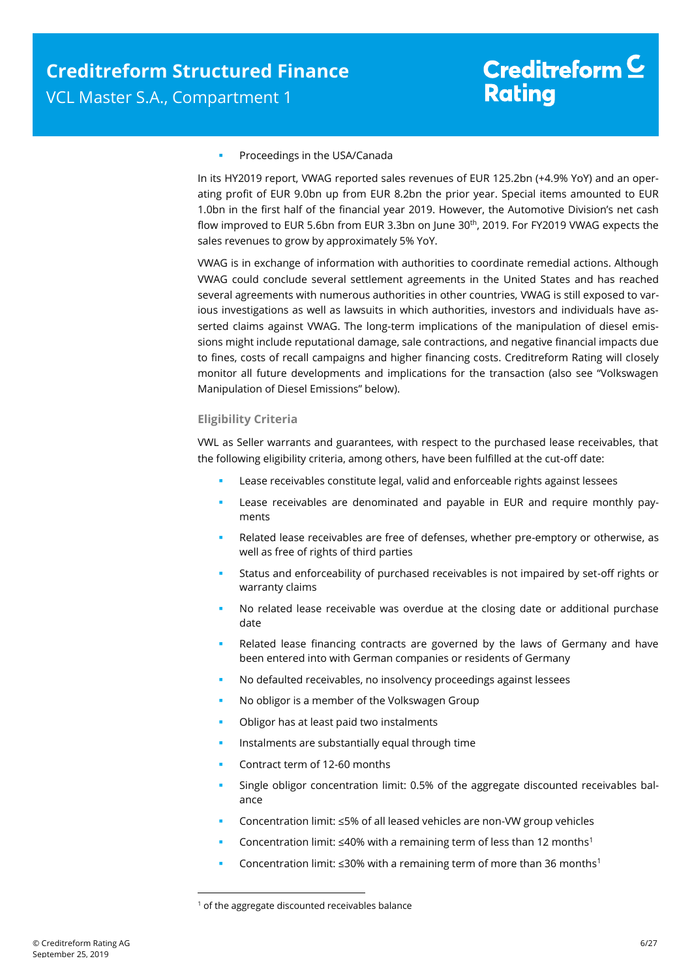#### Proceedings in the USA/Canada

In its HY2019 report, VWAG reported sales revenues of EUR 125.2bn (+4.9% YoY) and an operating profit of EUR 9.0bn up from EUR 8.2bn the prior year. Special items amounted to EUR 1.0bn in the first half of the financial year 2019. However, the Automotive Division's net cash flow improved to EUR 5.6bn from EUR 3.3bn on June 30<sup>th</sup>, 2019. For FY2019 VWAG expects the sales revenues to grow by approximately 5% YoY.

VWAG is in exchange of information with authorities to coordinate remedial actions. Although VWAG could conclude several settlement agreements in the United States and has reached several agreements with numerous authorities in other countries, VWAG is still exposed to various investigations as well as lawsuits in which authorities, investors and individuals have asserted claims against VWAG. The long-term implications of the manipulation of diesel emissions might include reputational damage, sale contractions, and negative financial impacts due to fines, costs of recall campaigns and higher financing costs. Creditreform Rating will closely monitor all future developments and implications for the transaction (also see "Volkswagen Manipulation of Diesel Emissions" below).

#### **Eligibility Criteria**

VWL as Seller warrants and guarantees, with respect to the purchased lease receivables, that the following eligibility criteria, among others, have been fulfilled at the cut-off date:

- Lease receivables constitute legal, valid and enforceable rights against lessees
- Lease receivables are denominated and payable in EUR and require monthly payments
- Related lease receivables are free of defenses, whether pre-emptory or otherwise, as well as free of rights of third parties
- Status and enforceability of purchased receivables is not impaired by set-off rights or warranty claims
- No related lease receivable was overdue at the closing date or additional purchase date
- Related lease financing contracts are governed by the laws of Germany and have been entered into with German companies or residents of Germany
- No defaulted receivables, no insolvency proceedings against lessees
- No obligor is a member of the Volkswagen Group
- Obligor has at least paid two instalments
- Instalments are substantially equal through time
- Contract term of 12-60 months
- Single obligor concentration limit: 0.5% of the aggregate discounted receivables balance
- Concentration limit: ≤5% of all leased vehicles are non-VW group vehicles
- Concentration limit: ≤40% with a remaining term of less than 12 months<sup>1</sup>
- Concentration limit:  $\leq$ 30% with a remaining term of more than 36 months<sup>1</sup>

 $\overline{a}$ 

 $1$  of the aggregate discounted receivables balance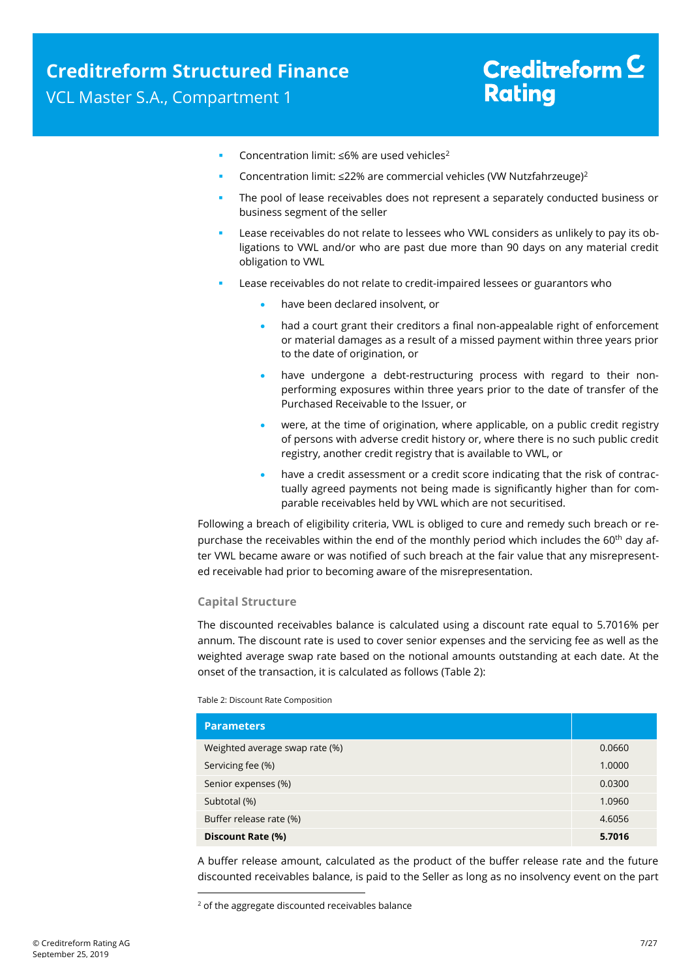- Concentration limit: ≤6% are used vehicles<sup>2</sup>
- Concentration limit: ≤22% are commercial vehicles (VW Nutzfahrzeuge)<sup>2</sup>
- The pool of lease receivables does not represent a separately conducted business or business segment of the seller
- Lease receivables do not relate to lessees who VWL considers as unlikely to pay its obligations to VWL and/or who are past due more than 90 days on any material credit obligation to VWL
- Lease receivables do not relate to credit-impaired lessees or guarantors who
	- have been declared insolvent, or
	- had a court grant their creditors a final non-appealable right of enforcement or material damages as a result of a missed payment within three years prior to the date of origination, or
	- have undergone a debt-restructuring process with regard to their nonperforming exposures within three years prior to the date of transfer of the Purchased Receivable to the Issuer, or
	- were, at the time of origination, where applicable, on a public credit registry of persons with adverse credit history or, where there is no such public credit registry, another credit registry that is available to VWL, or
	- have a credit assessment or a credit score indicating that the risk of contractually agreed payments not being made is significantly higher than for comparable receivables held by VWL which are not securitised.

Following a breach of eligibility criteria, VWL is obliged to cure and remedy such breach or repurchase the receivables within the end of the monthly period which includes the 60<sup>th</sup> day after VWL became aware or was notified of such breach at the fair value that any misrepresented receivable had prior to becoming aware of the misrepresentation.

#### **Capital Structure**

The discounted receivables balance is calculated using a discount rate equal to 5.7016% per annum. The discount rate is used to cover senior expenses and the servicing fee as well as the weighted average swap rate based on the notional amounts outstanding at each date. At the onset of the transaction, it is calculated as follows [\(Table 2\)](#page-6-0):

<span id="page-6-0"></span>Table 2: Discount Rate Composition

 $\overline{a}$ 

| <b>Parameters</b>              |        |
|--------------------------------|--------|
| Weighted average swap rate (%) | 0.0660 |
| Servicing fee (%)              | 1.0000 |
| Senior expenses (%)            | 0.0300 |
| Subtotal (%)                   | 1.0960 |
| Buffer release rate (%)        | 4.6056 |
| Discount Rate (%)              | 5.7016 |

A buffer release amount, calculated as the product of the buffer release rate and the future discounted receivables balance, is paid to the Seller as long as no insolvency event on the part

 $2$  of the aggregate discounted receivables balance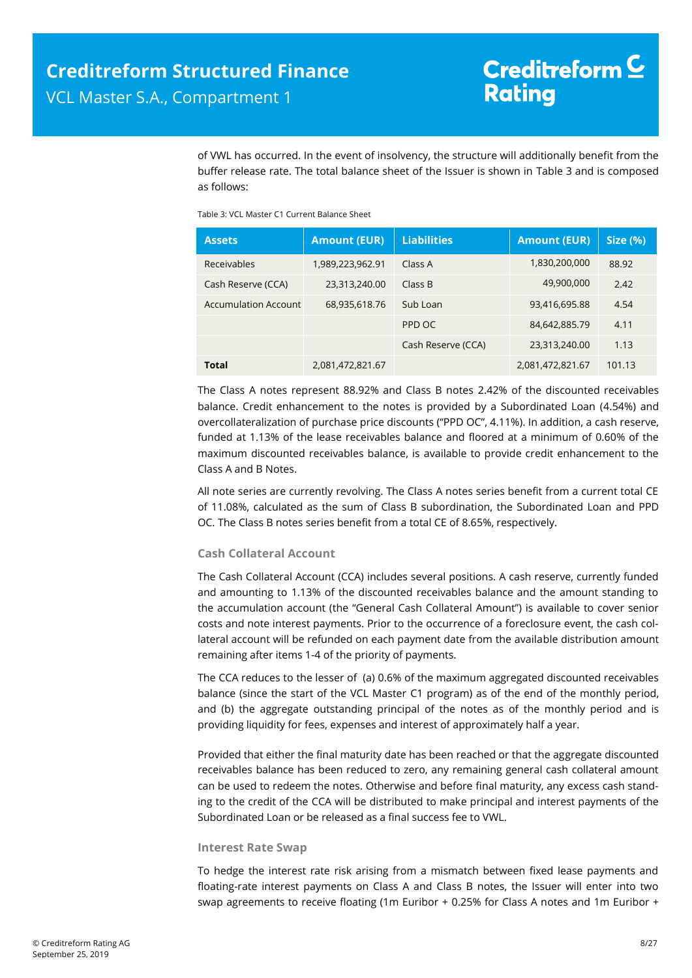of VWL has occurred. In the event of insolvency, the structure will additionally benefit from the buffer release rate. The total balance sheet of the Issuer is shown in [Table 3](#page-7-0) and is composed as follows:

<span id="page-7-0"></span>Table 3: VCL Master C1 Current Balance Sheet

| <b>Assets</b>        | <b>Amount (EUR)</b> | <b>Liabilities</b> | <b>Amount (EUR)</b> | <b>Size (%)</b> |
|----------------------|---------------------|--------------------|---------------------|-----------------|
| Receivables          | 1,989,223,962.91    | Class A            | 1,830,200,000       | 88.92           |
| Cash Reserve (CCA)   | 23,313,240.00       | Class B            | 49,900,000          | 2.42            |
| Accumulation Account | 68,935,618.76       | Sub Loan           | 93,416,695.88       | 4.54            |
|                      |                     | PPD OC             | 84,642,885.79       | 4.11            |
|                      |                     | Cash Reserve (CCA) | 23,313,240.00       | 1.13            |
| <b>Total</b>         | 2,081,472,821.67    |                    | 2,081,472,821.67    | 101.13          |

The Class A notes represent 88.92% and Class B notes 2.42% of the discounted receivables balance. Credit enhancement to the notes is provided by a Subordinated Loan (4.54%) and overcollateralization of purchase price discounts ("PPD OC", 4.11%). In addition, a cash reserve, funded at 1.13% of the lease receivables balance and floored at a minimum of 0.60% of the maximum discounted receivables balance, is available to provide credit enhancement to the Class A and B Notes.

All note series are currently revolving. The Class A notes series benefit from a current total CE of 11.08%, calculated as the sum of Class B subordination, the Subordinated Loan and PPD OC. The Class B notes series benefit from a total CE of 8.65%, respectively.

#### **Cash Collateral Account**

The Cash Collateral Account (CCA) includes several positions. A cash reserve, currently funded and amounting to 1.13% of the discounted receivables balance and the amount standing to the accumulation account (the "General Cash Collateral Amount") is available to cover senior costs and note interest payments. Prior to the occurrence of a foreclosure event, the cash collateral account will be refunded on each payment date from the available distribution amount remaining after items 1-4 of the priority of payments.

The CCA reduces to the lesser of (a) 0.6% of the maximum aggregated discounted receivables balance (since the start of the VCL Master C1 program) as of the end of the monthly period, and (b) the aggregate outstanding principal of the notes as of the monthly period and is providing liquidity for fees, expenses and interest of approximately half a year.

Provided that either the final maturity date has been reached or that the aggregate discounted receivables balance has been reduced to zero, any remaining general cash collateral amount can be used to redeem the notes. Otherwise and before final maturity, any excess cash standing to the credit of the CCA will be distributed to make principal and interest payments of the Subordinated Loan or be released as a final success fee to VWL.

#### **Interest Rate Swap**

To hedge the interest rate risk arising from a mismatch between fixed lease payments and floating-rate interest payments on Class A and Class B notes, the Issuer will enter into two swap agreements to receive floating (1m Euribor + 0.25% for Class A notes and 1m Euribor +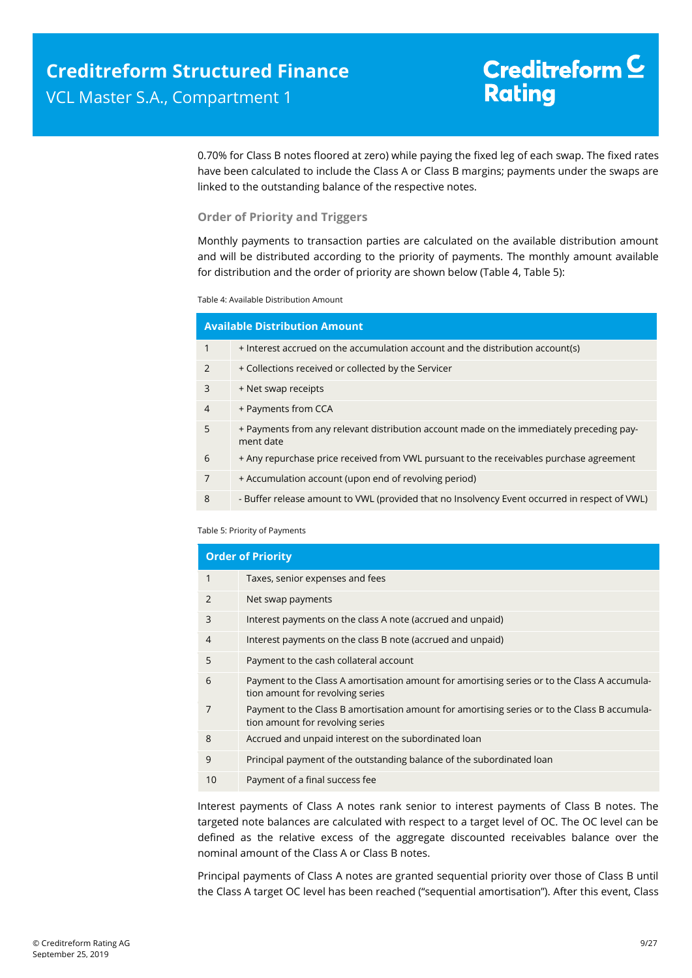0.70% for Class B notes floored at zero) while paying the fixed leg of each swap. The fixed rates have been calculated to include the Class A or Class B margins; payments under the swaps are linked to the outstanding balance of the respective notes.

#### **Order of Priority and Triggers**

Monthly payments to transaction parties are calculated on the available distribution amount and will be distributed according to the priority of payments. The monthly amount available for distribution and the order of priority are shown below [\(Table 4,](#page-8-0) [Table 5\)](#page-8-1):

<span id="page-8-0"></span>Table 4: Available Distribution Amount

| <b>Available Distribution Amount</b> |                                                                                                       |  |  |  |
|--------------------------------------|-------------------------------------------------------------------------------------------------------|--|--|--|
| $\mathbf{1}$                         | + Interest accrued on the accumulation account and the distribution account(s)                        |  |  |  |
| 2                                    | + Collections received or collected by the Servicer                                                   |  |  |  |
| 3                                    | + Net swap receipts                                                                                   |  |  |  |
| $\overline{4}$                       | + Payments from CCA                                                                                   |  |  |  |
| 5                                    | + Payments from any relevant distribution account made on the immediately preceding pay-<br>ment date |  |  |  |
| 6                                    | + Any repurchase price received from VWL pursuant to the receivables purchase agreement               |  |  |  |
| 7                                    | + Accumulation account (upon end of revolving period)                                                 |  |  |  |
| 8                                    | - Buffer release amount to VWL (provided that no Insolvency Event occurred in respect of WWL)         |  |  |  |

<span id="page-8-1"></span>Table 5: Priority of Payments

| <b>Order of Priority</b> |                                                                                                                                  |  |  |  |
|--------------------------|----------------------------------------------------------------------------------------------------------------------------------|--|--|--|
| 1                        | Taxes, senior expenses and fees                                                                                                  |  |  |  |
| $\mathcal{P}$            | Net swap payments                                                                                                                |  |  |  |
| 3                        | Interest payments on the class A note (accrued and unpaid)                                                                       |  |  |  |
| $\overline{4}$           | Interest payments on the class B note (accrued and unpaid)                                                                       |  |  |  |
| 5                        | Payment to the cash collateral account                                                                                           |  |  |  |
| 6                        | Payment to the Class A amortisation amount for amortising series or to the Class A accumula-<br>tion amount for revolving series |  |  |  |
|                          | Payment to the Class B amortisation amount for amortising series or to the Class B accumula-<br>tion amount for revolving series |  |  |  |
| 8                        | Accrued and unpaid interest on the subordinated loan                                                                             |  |  |  |
| 9                        | Principal payment of the outstanding balance of the subordinated loan                                                            |  |  |  |
| 10                       | Payment of a final success fee                                                                                                   |  |  |  |
|                          |                                                                                                                                  |  |  |  |

Interest payments of Class A notes rank senior to interest payments of Class B notes. The targeted note balances are calculated with respect to a target level of OC. The OC level can be defined as the relative excess of the aggregate discounted receivables balance over the nominal amount of the Class A or Class B notes.

Principal payments of Class A notes are granted sequential priority over those of Class B until the Class A target OC level has been reached ("sequential amortisation"). After this event, Class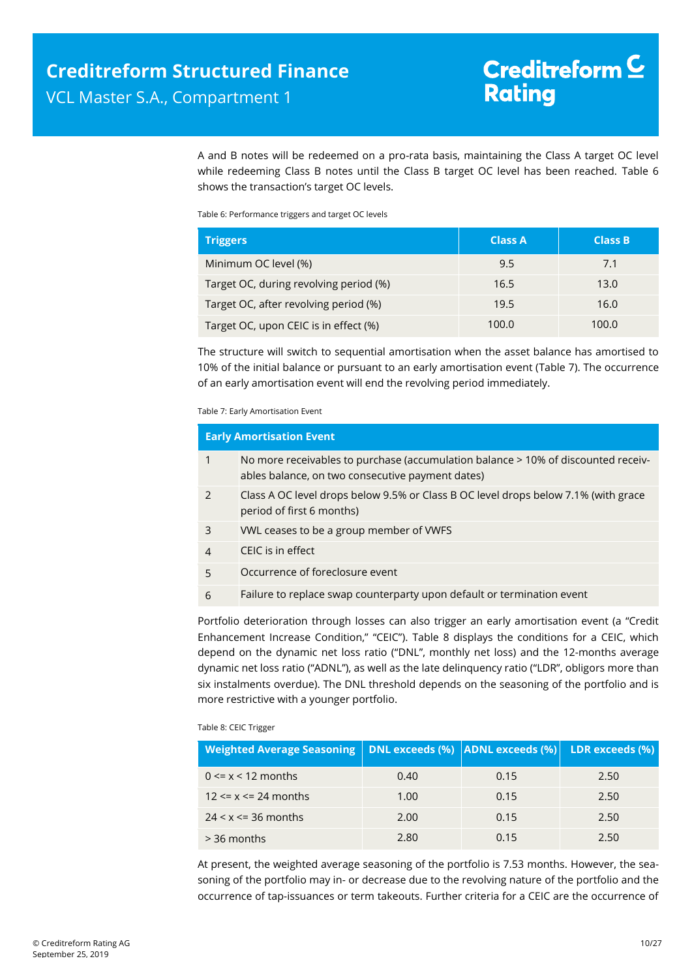A and B notes will be redeemed on a pro-rata basis, maintaining the Class A target OC level while redeeming Class B notes until the Class B target OC level has been reached. [Table 6](#page-9-0) shows the transaction's target OC levels.

<span id="page-9-0"></span>Table 6: Performance triggers and target OC levels

| <b>Triggers</b>                        | <b>Class A</b> | <b>Class B</b> |
|----------------------------------------|----------------|----------------|
| Minimum OC level (%)                   | 9.5            | 7.1            |
| Target OC, during revolving period (%) | 16.5           | 13.0           |
| Target OC, after revolving period (%)  | 19.5           | 16.0           |
| Target OC, upon CEIC is in effect (%)  | 100.0          | 100.0          |

The structure will switch to sequential amortisation when the asset balance has amortised to 10% of the initial balance or pursuant to an early amortisation event [\(Table 7\)](#page-9-1). The occurrence of an early amortisation event will end the revolving period immediately.

<span id="page-9-1"></span>Table 7: Early Amortisation Event

| <b>Early Amortisation Event</b> |                                                                                                                                       |  |  |  |
|---------------------------------|---------------------------------------------------------------------------------------------------------------------------------------|--|--|--|
| $\mathbf{1}$                    | No more receivables to purchase (accumulation balance > 10% of discounted receiv-<br>ables balance, on two consecutive payment dates) |  |  |  |
| 2                               | Class A OC level drops below 9.5% or Class B OC level drops below 7.1% (with grace<br>period of first 6 months)                       |  |  |  |
| 3                               | VWL ceases to be a group member of VWFS                                                                                               |  |  |  |
| $\overline{4}$                  | CEIC is in effect                                                                                                                     |  |  |  |
| 5                               | Occurrence of foreclosure event                                                                                                       |  |  |  |
| 6                               | Failure to replace swap counterparty upon default or termination event                                                                |  |  |  |

Portfolio deterioration through losses can also trigger an early amortisation event (a "Credit Enhancement Increase Condition," "CEIC"). Table 8 displays the conditions for a CEIC, which depend on the dynamic net loss ratio ("DNL", monthly net loss) and the 12-months average dynamic net loss ratio ("ADNL"), as well as the late delinquency ratio ("LDR", obligors more than six instalments overdue). The DNL threshold depends on the seasoning of the portfolio and is more restrictive with a younger portfolio.

#### Table 8: CEIC Trigger

| Weighted Average Seasoning   DNL exceeds (%)   ADNL exceeds (%)   LDR exceeds (%) |      |      |      |
|-----------------------------------------------------------------------------------|------|------|------|
| $0 \le x \le 12$ months                                                           | 0.40 | 0.15 | 2.50 |
| $12 \le x \le 24$ months                                                          | 1.00 | 0.15 | 2.50 |
| $24 < x \le 36$ months                                                            | 2.00 | 0.15 | 2.50 |
| $>$ 36 months                                                                     | 2.80 | 0.15 | 2.50 |

At present, the weighted average seasoning of the portfolio is 7.53 months. However, the seasoning of the portfolio may in- or decrease due to the revolving nature of the portfolio and the occurrence of tap-issuances or term takeouts. Further criteria for a CEIC are the occurrence of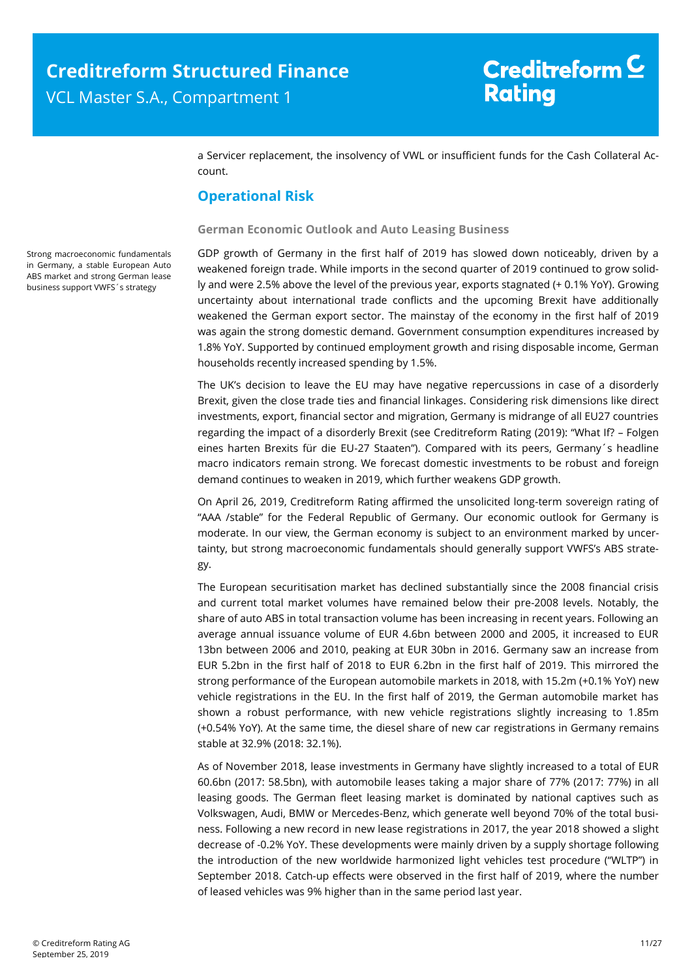a Servicer replacement, the insolvency of VWL or insufficient funds for the Cash Collateral Account.

### **Operational Risk**

#### **German Economic Outlook and Auto Leasing Business**

GDP growth of Germany in the first half of 2019 has slowed down noticeably, driven by a weakened foreign trade. While imports in the second quarter of 2019 continued to grow solidly and were 2.5% above the level of the previous year, exports stagnated (+ 0.1% YoY). Growing uncertainty about international trade conflicts and the upcoming Brexit have additionally weakened the German export sector. The mainstay of the economy in the first half of 2019 was again the strong domestic demand. Government consumption expenditures increased by 1.8% YoY. Supported by continued employment growth and rising disposable income, German households recently increased spending by 1.5%.

The UK's decision to leave the EU may have negative repercussions in case of a disorderly Brexit, given the close trade ties and financial linkages. Considering risk dimensions like direct investments, export, financial sector and migration, Germany is midrange of all EU27 countries regarding the impact of a disorderly Brexit (see Creditreform Rating (2019): "What If? – Folgen eines harten Brexits für die EU-27 Staaten"). Compared with its peers, Germany´s headline macro indicators remain strong. We forecast domestic investments to be robust and foreign demand continues to weaken in 2019, which further weakens GDP growth.

On April 26, 2019, Creditreform Rating affirmed the unsolicited long-term sovereign rating of "AAA /stable" for the Federal Republic of Germany. Our economic outlook for Germany is moderate. In our view, the German economy is subject to an environment marked by uncertainty, but strong macroeconomic fundamentals should generally support VWFS's ABS strategy.

The European securitisation market has declined substantially since the 2008 financial crisis and current total market volumes have remained below their pre-2008 levels. Notably, the share of auto ABS in total transaction volume has been increasing in recent years. Following an average annual issuance volume of EUR 4.6bn between 2000 and 2005, it increased to EUR 13bn between 2006 and 2010, peaking at EUR 30bn in 2016. Germany saw an increase from EUR 5.2bn in the first half of 2018 to EUR 6.2bn in the first half of 2019. This mirrored the strong performance of the European automobile markets in 2018, with 15.2m (+0.1% YoY) new vehicle registrations in the EU. In the first half of 2019, the German automobile market has shown a robust performance, with new vehicle registrations slightly increasing to 1.85m (+0.54% YoY). At the same time, the diesel share of new car registrations in Germany remains stable at 32.9% (2018: 32.1%).

As of November 2018, lease investments in Germany have slightly increased to a total of EUR 60.6bn (2017: 58.5bn), with automobile leases taking a major share of 77% (2017: 77%) in all leasing goods. The German fleet leasing market is dominated by national captives such as Volkswagen, Audi, BMW or Mercedes-Benz, which generate well beyond 70% of the total business. Following a new record in new lease registrations in 2017, the year 2018 showed a slight decrease of -0.2% YoY. These developments were mainly driven by a supply shortage following the introduction of the new worldwide harmonized light vehicles test procedure ("WLTP") in September 2018. Catch-up effects were observed in the first half of 2019, where the number of leased vehicles was 9% higher than in the same period last year.

<span id="page-10-0"></span>Strong macroeconomic fundamentals in Germany, a stable European Auto ABS market and strong German lease business support VWFS´s strategy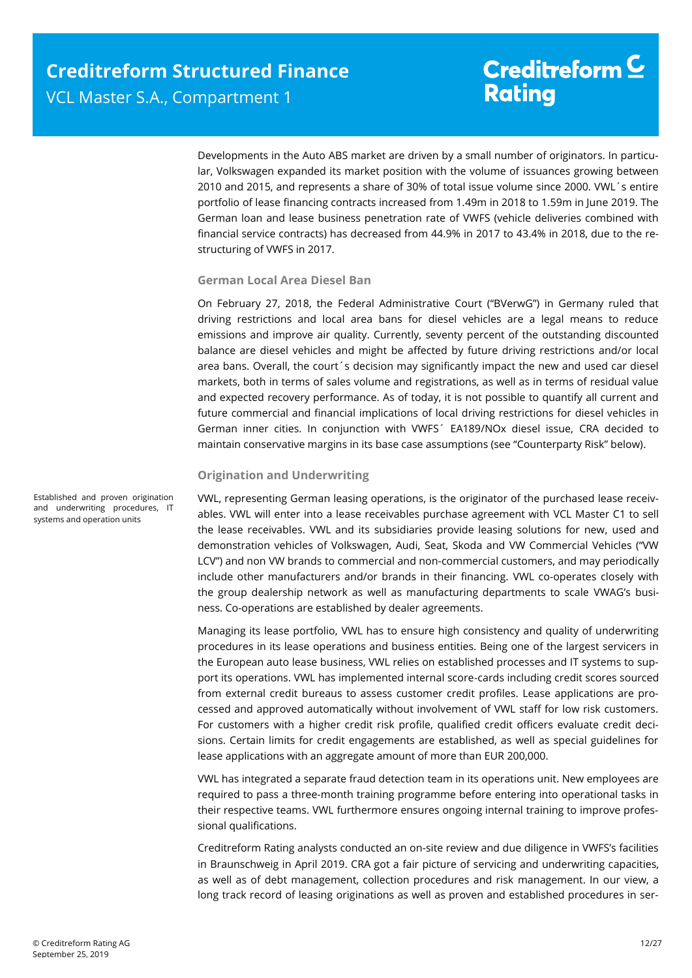Developments in the Auto ABS market are driven by a small number of originators. In particular, Volkswagen expanded its market position with the volume of issuances growing between 2010 and 2015, and represents a share of 30% of total issue volume since 2000. VWL´s entire portfolio of lease financing contracts increased from 1.49m in 2018 to 1.59m in June 2019. The German loan and lease business penetration rate of VWFS (vehicle deliveries combined with financial service contracts) has decreased from 44.9% in 2017 to 43.4% in 2018, due to the restructuring of VWFS in 2017.

#### **German Local Area Diesel Ban**

On February 27, 2018, the Federal Administrative Court ("BVerwG") in Germany ruled that driving restrictions and local area bans for diesel vehicles are a legal means to reduce emissions and improve air quality. Currently, seventy percent of the outstanding discounted balance are diesel vehicles and might be affected by future driving restrictions and/or local area bans. Overall, the court´s decision may significantly impact the new and used car diesel markets, both in terms of sales volume and registrations, as well as in terms of residual value and expected recovery performance. As of today, it is not possible to quantify all current and future commercial and financial implications of local driving restrictions for diesel vehicles in German inner cities. In conjunction with VWFS´ EA189/NOx diesel issue, CRA decided to maintain conservative margins in its base case assumptions (see "Counterparty Risk" below).

#### **Origination and Underwriting**

VWL, representing German leasing operations, is the originator of the purchased lease receivables. VWL will enter into a lease receivables purchase agreement with VCL Master C1 to sell the lease receivables. VWL and its subsidiaries provide leasing solutions for new, used and demonstration vehicles of Volkswagen, Audi, Seat, Skoda and VW Commercial Vehicles ("VW LCV") and non VW brands to commercial and non-commercial customers, and may periodically include other manufacturers and/or brands in their financing. VWL co-operates closely with the group dealership network as well as manufacturing departments to scale VWAG's business. Co-operations are established by dealer agreements.

Managing its lease portfolio, VWL has to ensure high consistency and quality of underwriting procedures in its lease operations and business entities. Being one of the largest servicers in the European auto lease business, VWL relies on established processes and IT systems to support its operations. VWL has implemented internal score-cards including credit scores sourced from external credit bureaus to assess customer credit profiles. Lease applications are processed and approved automatically without involvement of VWL staff for low risk customers. For customers with a higher credit risk profile, qualified credit officers evaluate credit decisions. Certain limits for credit engagements are established, as well as special guidelines for lease applications with an aggregate amount of more than EUR 200,000.

VWL has integrated a separate fraud detection team in its operations unit. New employees are required to pass a three-month training programme before entering into operational tasks in their respective teams. VWL furthermore ensures ongoing internal training to improve professional qualifications.

Creditreform Rating analysts conducted an on-site review and due diligence in VWFS's facilities in Braunschweig in April 2019. CRA got a fair picture of servicing and underwriting capacities, as well as of debt management, collection procedures and risk management. In our view, a long track record of leasing originations as well as proven and established procedures in ser-

Established and proven origination and underwriting procedures, IT systems and operation units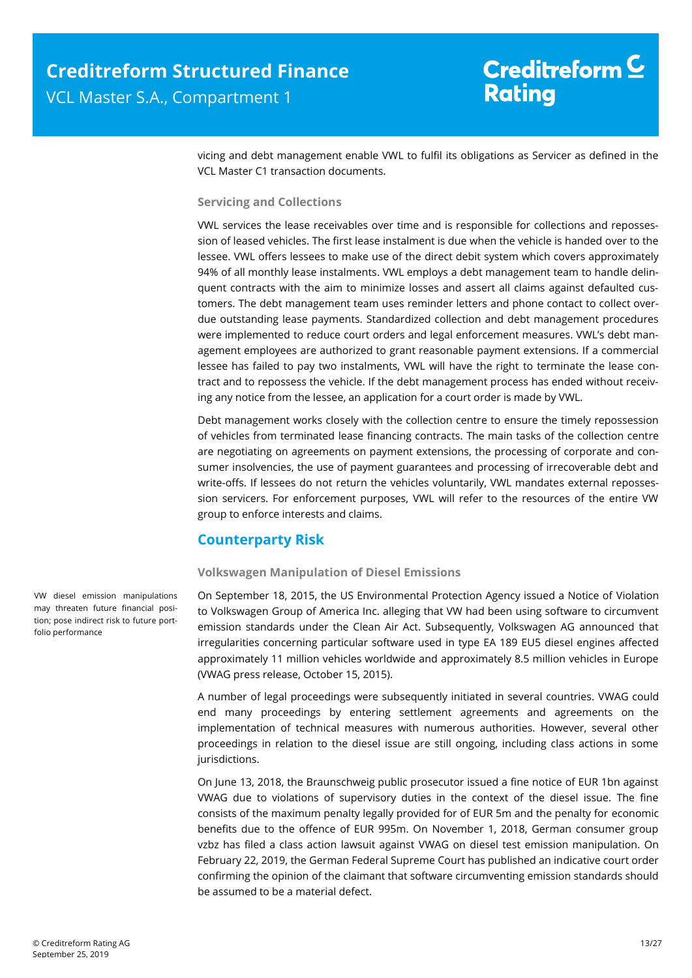vicing and debt management enable VWL to fulfil its obligations as Servicer as defined in the VCL Master C1 transaction documents.

#### **Servicing and Collections**

VWL services the lease receivables over time and is responsible for collections and repossession of leased vehicles. The first lease instalment is due when the vehicle is handed over to the lessee. VWL offers lessees to make use of the direct debit system which covers approximately 94% of all monthly lease instalments. VWL employs a debt management team to handle delinquent contracts with the aim to minimize losses and assert all claims against defaulted customers. The debt management team uses reminder letters and phone contact to collect overdue outstanding lease payments. Standardized collection and debt management procedures were implemented to reduce court orders and legal enforcement measures. VWL's debt management employees are authorized to grant reasonable payment extensions. If a commercial lessee has failed to pay two instalments, VWL will have the right to terminate the lease contract and to repossess the vehicle. If the debt management process has ended without receiving any notice from the lessee, an application for a court order is made by VWL.

Debt management works closely with the collection centre to ensure the timely repossession of vehicles from terminated lease financing contracts. The main tasks of the collection centre are negotiating on agreements on payment extensions, the processing of corporate and consumer insolvencies, the use of payment guarantees and processing of irrecoverable debt and write-offs. If lessees do not return the vehicles voluntarily, VWL mandates external repossession servicers. For enforcement purposes, VWL will refer to the resources of the entire VW group to enforce interests and claims.

### **Counterparty Risk**

#### **Volkswagen Manipulation of Diesel Emissions**

On September 18, 2015, the US Environmental Protection Agency issued a Notice of Violation to Volkswagen Group of America Inc. alleging that VW had been using software to circumvent emission standards under the Clean Air Act. Subsequently, Volkswagen AG announced that irregularities concerning particular software used in type EA 189 EU5 diesel engines affected approximately 11 million vehicles worldwide and approximately 8.5 million vehicles in Europe (VWAG press release, October 15, 2015).

A number of legal proceedings were subsequently initiated in several countries. VWAG could end many proceedings by entering settlement agreements and agreements on the implementation of technical measures with numerous authorities. However, several other proceedings in relation to the diesel issue are still ongoing, including class actions in some jurisdictions.

On June 13, 2018, the Braunschweig public prosecutor issued a fine notice of EUR 1bn against VWAG due to violations of supervisory duties in the context of the diesel issue. The fine consists of the maximum penalty legally provided for of EUR 5m and the penalty for economic benefits due to the offence of EUR 995m. On November 1, 2018, German consumer group vzbz has filed a class action lawsuit against VWAG on diesel test emission manipulation. On February 22, 2019, the German Federal Supreme Court has published an indicative court order confirming the opinion of the claimant that software circumventing emission standards should be assumed to be a material defect.

<span id="page-12-0"></span>VW diesel emission manipulations may threaten future financial position; pose indirect risk to future portfolio performance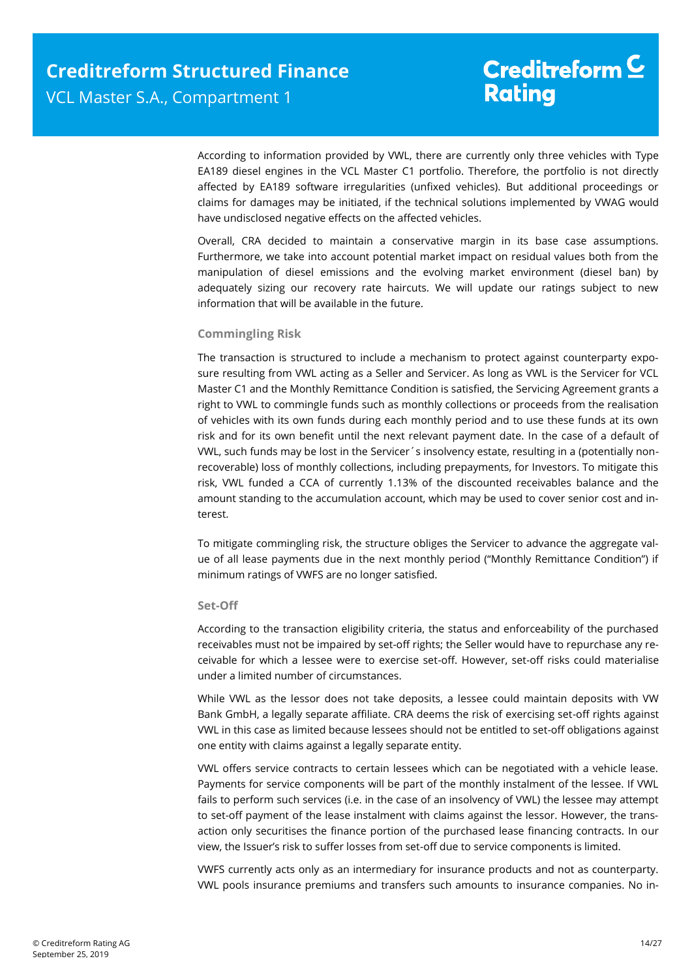According to information provided by VWL, there are currently only three vehicles with Type EA189 diesel engines in the VCL Master C1 portfolio. Therefore, the portfolio is not directly affected by EA189 software irregularities (unfixed vehicles). But additional proceedings or claims for damages may be initiated, if the technical solutions implemented by VWAG would have undisclosed negative effects on the affected vehicles.

Overall, CRA decided to maintain a conservative margin in its base case assumptions. Furthermore, we take into account potential market impact on residual values both from the manipulation of diesel emissions and the evolving market environment (diesel ban) by adequately sizing our recovery rate haircuts. We will update our ratings subject to new information that will be available in the future.

#### **Commingling Risk**

The transaction is structured to include a mechanism to protect against counterparty exposure resulting from VWL acting as a Seller and Servicer. As long as VWL is the Servicer for VCL Master C1 and the Monthly Remittance Condition is satisfied, the Servicing Agreement grants a right to VWL to commingle funds such as monthly collections or proceeds from the realisation of vehicles with its own funds during each monthly period and to use these funds at its own risk and for its own benefit until the next relevant payment date. In the case of a default of VWL, such funds may be lost in the Servicer´s insolvency estate, resulting in a (potentially nonrecoverable) loss of monthly collections, including prepayments, for Investors. To mitigate this risk, VWL funded a CCA of currently 1.13% of the discounted receivables balance and the amount standing to the accumulation account, which may be used to cover senior cost and interest.

To mitigate commingling risk, the structure obliges the Servicer to advance the aggregate value of all lease payments due in the next monthly period ("Monthly Remittance Condition") if minimum ratings of VWFS are no longer satisfied.

#### **Set-Off**

According to the transaction eligibility criteria, the status and enforceability of the purchased receivables must not be impaired by set-off rights; the Seller would have to repurchase any receivable for which a lessee were to exercise set-off. However, set-off risks could materialise under a limited number of circumstances.

While VWL as the lessor does not take deposits, a lessee could maintain deposits with VW Bank GmbH, a legally separate affiliate. CRA deems the risk of exercising set-off rights against VWL in this case as limited because lessees should not be entitled to set-off obligations against one entity with claims against a legally separate entity.

VWL offers service contracts to certain lessees which can be negotiated with a vehicle lease. Payments for service components will be part of the monthly instalment of the lessee. If VWL fails to perform such services (i.e. in the case of an insolvency of VWL) the lessee may attempt to set-off payment of the lease instalment with claims against the lessor. However, the transaction only securitises the finance portion of the purchased lease financing contracts. In our view, the Issuer's risk to suffer losses from set-off due to service components is limited.

VWFS currently acts only as an intermediary for insurance products and not as counterparty. VWL pools insurance premiums and transfers such amounts to insurance companies. No in-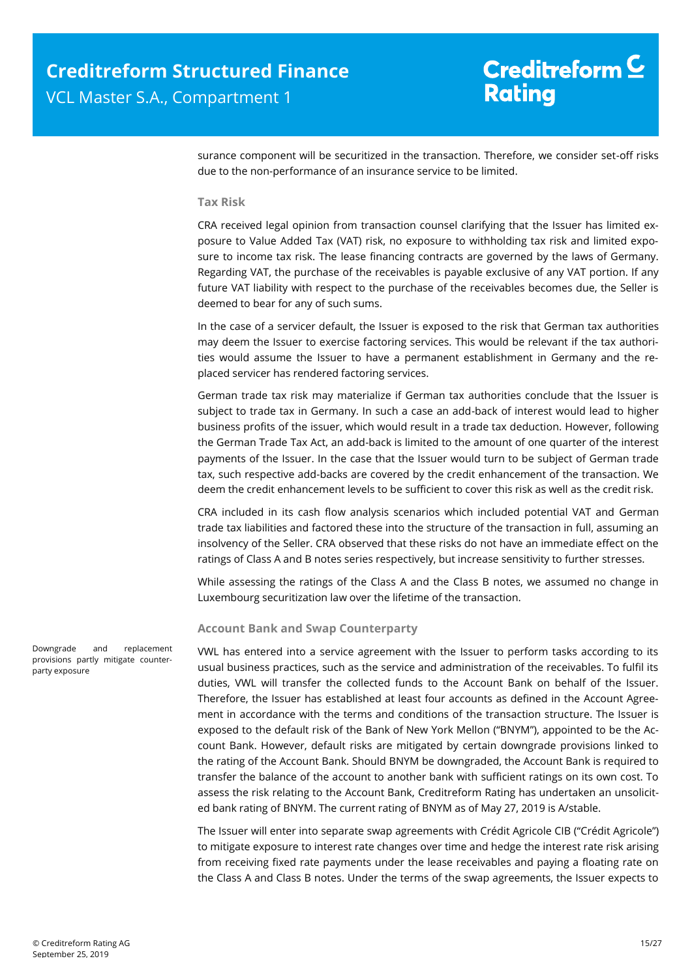surance component will be securitized in the transaction. Therefore, we consider set-off risks due to the non-performance of an insurance service to be limited.

#### **Tax Risk**

CRA received legal opinion from transaction counsel clarifying that the Issuer has limited exposure to Value Added Tax (VAT) risk, no exposure to withholding tax risk and limited exposure to income tax risk. The lease financing contracts are governed by the laws of Germany. Regarding VAT, the purchase of the receivables is payable exclusive of any VAT portion. If any future VAT liability with respect to the purchase of the receivables becomes due, the Seller is deemed to bear for any of such sums.

In the case of a servicer default, the Issuer is exposed to the risk that German tax authorities may deem the Issuer to exercise factoring services. This would be relevant if the tax authorities would assume the Issuer to have a permanent establishment in Germany and the replaced servicer has rendered factoring services.

German trade tax risk may materialize if German tax authorities conclude that the Issuer is subject to trade tax in Germany. In such a case an add-back of interest would lead to higher business profits of the issuer, which would result in a trade tax deduction. However, following the German Trade Tax Act, an add-back is limited to the amount of one quarter of the interest payments of the Issuer. In the case that the Issuer would turn to be subject of German trade tax, such respective add-backs are covered by the credit enhancement of the transaction. We deem the credit enhancement levels to be sufficient to cover this risk as well as the credit risk.

CRA included in its cash flow analysis scenarios which included potential VAT and German trade tax liabilities and factored these into the structure of the transaction in full, assuming an insolvency of the Seller. CRA observed that these risks do not have an immediate effect on the ratings of Class A and B notes series respectively, but increase sensitivity to further stresses.

While assessing the ratings of the Class A and the Class B notes, we assumed no change in Luxembourg securitization law over the lifetime of the transaction.

#### **Account Bank and Swap Counterparty**

VWL has entered into a service agreement with the Issuer to perform tasks according to its usual business practices, such as the service and administration of the receivables. To fulfil its duties, VWL will transfer the collected funds to the Account Bank on behalf of the Issuer. Therefore, the Issuer has established at least four accounts as defined in the Account Agreement in accordance with the terms and conditions of the transaction structure. The Issuer is exposed to the default risk of the Bank of New York Mellon ("BNYM"), appointed to be the Account Bank. However, default risks are mitigated by certain downgrade provisions linked to the rating of the Account Bank. Should BNYM be downgraded, the Account Bank is required to transfer the balance of the account to another bank with sufficient ratings on its own cost. To assess the risk relating to the Account Bank, Creditreform Rating has undertaken an unsolicited bank rating of BNYM. The current rating of BNYM as of May 27, 2019 is A/stable.

The Issuer will enter into separate swap agreements with Crédit Agricole CIB ("Crédit Agricole") to mitigate exposure to interest rate changes over time and hedge the interest rate risk arising from receiving fixed rate payments under the lease receivables and paying a floating rate on the Class A and Class B notes. Under the terms of the swap agreements, the Issuer expects to

Downgrade and replacement provisions partly mitigate counterparty exposure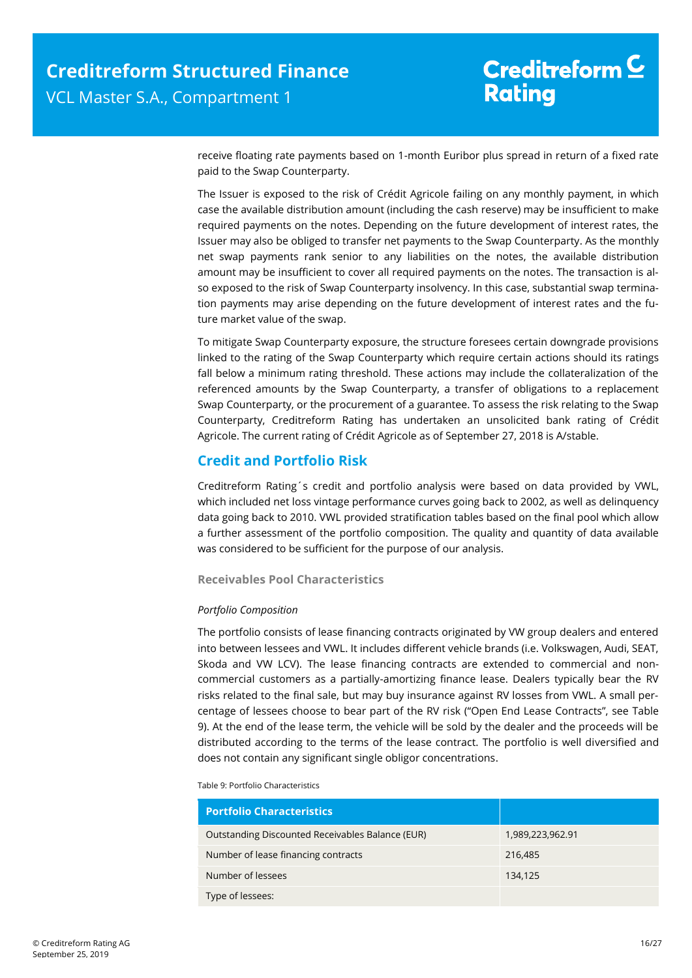receive floating rate payments based on 1-month Euribor plus spread in return of a fixed rate paid to the Swap Counterparty.

The Issuer is exposed to the risk of Crédit Agricole failing on any monthly payment, in which case the available distribution amount (including the cash reserve) may be insufficient to make required payments on the notes. Depending on the future development of interest rates, the Issuer may also be obliged to transfer net payments to the Swap Counterparty. As the monthly net swap payments rank senior to any liabilities on the notes, the available distribution amount may be insufficient to cover all required payments on the notes. The transaction is also exposed to the risk of Swap Counterparty insolvency. In this case, substantial swap termination payments may arise depending on the future development of interest rates and the future market value of the swap.

To mitigate Swap Counterparty exposure, the structure foresees certain downgrade provisions linked to the rating of the Swap Counterparty which require certain actions should its ratings fall below a minimum rating threshold. These actions may include the collateralization of the referenced amounts by the Swap Counterparty, a transfer of obligations to a replacement Swap Counterparty, or the procurement of a guarantee. To assess the risk relating to the Swap Counterparty, Creditreform Rating has undertaken an unsolicited bank rating of Crédit Agricole. The current rating of Crédit Agricole as of September 27, 2018 is A/stable.

### <span id="page-15-0"></span>**Credit and Portfolio Risk**

Creditreform Rating´s credit and portfolio analysis were based on data provided by VWL, which included net loss vintage performance curves going back to 2002, as well as delinquency data going back to 2010. VWL provided stratification tables based on the final pool which allow a further assessment of the portfolio composition. The quality and quantity of data available was considered to be sufficient for the purpose of our analysis.

**Receivables Pool Characteristics**

#### *Portfolio Composition*

The portfolio consists of lease financing contracts originated by VW group dealers and entered into between lessees and VWL. It includes different vehicle brands (i.e. Volkswagen, Audi, SEAT, Skoda and VW LCV). The lease financing contracts are extended to commercial and noncommercial customers as a partially-amortizing finance lease. Dealers typically bear the RV risks related to the final sale, but may buy insurance against RV losses from VWL. A small percentage of lessees choose to bear part of the RV risk ("Open End Lease Contracts", see Table 9). At the end of the lease term, the vehicle will be sold by the dealer and the proceeds will be distributed according to the terms of the lease contract. The portfolio is well diversified and does not contain any significant single obligor concentrations.

Table 9: Portfolio Characteristics

| <b>Portfolio Characteristics</b>                 |                  |
|--------------------------------------------------|------------------|
| Outstanding Discounted Receivables Balance (EUR) | 1,989,223,962.91 |
| Number of lease financing contracts              | 216,485          |
| Number of lessees                                | 134,125          |
| Type of lessees:                                 |                  |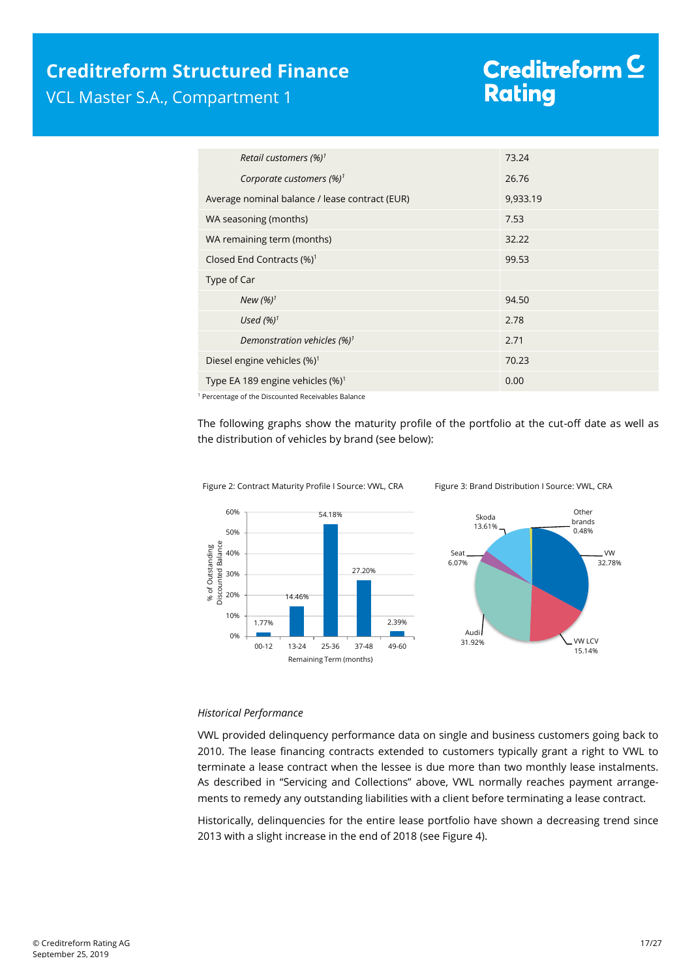### **Creditreform Structured Finance** VCL Master S.A., Compartment 1

# Creditreform<sup>C</sup> **Rating**

| Retail customers $(%)^1$                       | 73.24    |
|------------------------------------------------|----------|
| Corporate customers $(\%)^1$                   | 26.76    |
| Average nominal balance / lease contract (EUR) | 9,933.19 |
| WA seasoning (months)                          | 7.53     |
| WA remaining term (months)                     | 32.22    |
| Closed End Contracts $(\%)^1$                  | 99.53    |
| Type of Car                                    |          |
| New $(%)^1$                                    | 94.50    |
| Used $(%)^1$                                   | 2.78     |
| Demonstration vehicles (%) <sup>1</sup>        | 2.71     |
| Diesel engine vehicles (%) <sup>1</sup>        | 70.23    |
| Type EA 189 engine vehicles (%) <sup>1</sup>   | 0.00     |

<sup>1</sup> Percentage of the Discounted Receivables Balance

The following graphs show the maturity profile of the portfolio at the cut-off date as well as the distribution of vehicles by brand (see below):



Figure 2: Contract Maturity Profile I Source: VWL, CRA Figure 3: Brand Distribution I Source: VWL, CRA

#### *Historical Performance*

VWL provided delinquency performance data on single and business customers going back to 2010. The lease financing contracts extended to customers typically grant a right to VWL to terminate a lease contract when the lessee is due more than two monthly lease instalments. As described in "Servicing and Collections" above, VWL normally reaches payment arrangements to remedy any outstanding liabilities with a client before terminating a lease contract.

Historically, delinquencies for the entire lease portfolio have shown a decreasing trend since 2013 with a slight increase in the end of 2018 (see [Figure 4\)](#page-17-0).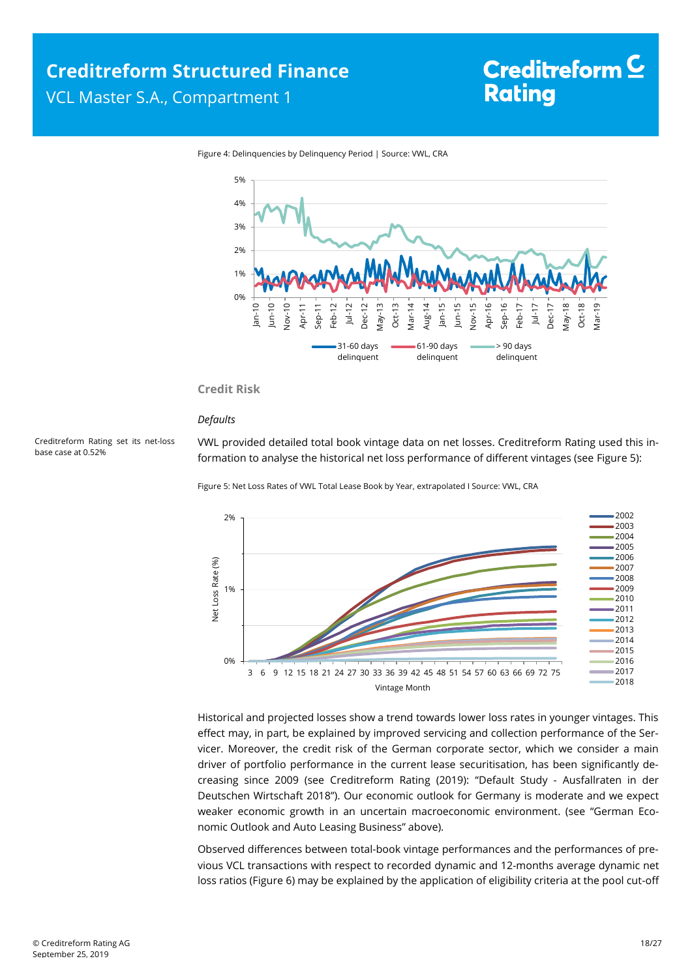

<span id="page-17-0"></span>Figure 4: Delinquencies by Delinquency Period | Source: VWL, CRA

#### **Credit Risk**

#### *Defaults*

<span id="page-17-1"></span>Creditreform Rating set its net-loss base case at 0.52%

VWL provided detailed total book vintage data on net losses. Creditreform Rating used this information to analyse the historical net loss performance of different vintages (se[e Figure 5\):](#page-17-1)

Figure 5: Net Loss Rates of VWL Total Lease Book by Year, extrapolated I Source: VWL, CRA



Historical and projected losses show a trend towards lower loss rates in younger vintages. This effect may, in part, be explained by improved servicing and collection performance of the Servicer. Moreover, the credit risk of the German corporate sector, which we consider a main driver of portfolio performance in the current lease securitisation, has been significantly decreasing since 2009 (see Creditreform Rating (2019): "Default Study - Ausfallraten in der Deutschen Wirtschaft 2018"). Our economic outlook for Germany is moderate and we expect weaker economic growth in an uncertain macroeconomic environment. (see "German Economic Outlook and Auto Leasing Business" above).

Observed differences between total-book vintage performances and the performances of previous VCL transactions with respect to recorded dynamic and 12-months average dynamic net loss ratios [\(Figure 6\)](#page-18-0) may be explained by the application of eligibility criteria at the pool cut-off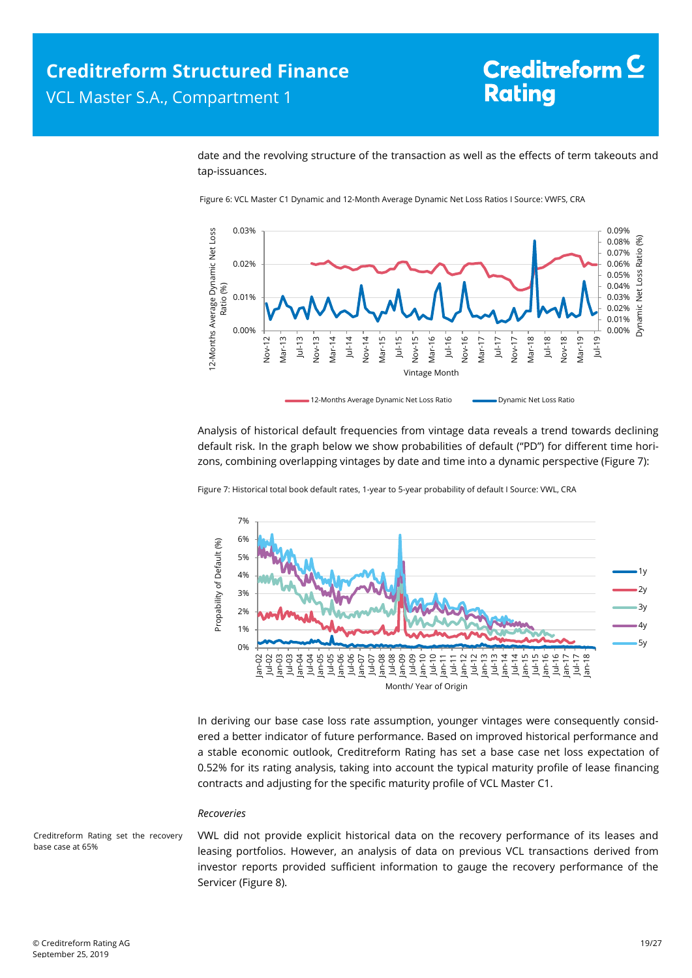date and the revolving structure of the transaction as well as the effects of term takeouts and tap-issuances.



<span id="page-18-0"></span>Figure 6: VCL Master C1 Dynamic and 12-Month Average Dynamic Net Loss Ratios I Source: VWFS, CRA

Analysis of historical default frequencies from vintage data reveals a trend towards declining default risk. In the graph below we show probabilities of default ("PD") for different time horizons, combining overlapping vintages by date and time into a dynamic perspective [\(Figure 7\)](#page-18-1):

<span id="page-18-1"></span>Figure 7: Historical total book default rates, 1-year to 5-year probability of default I Source: VWL, CRA



In deriving our base case loss rate assumption, younger vintages were consequently considered a better indicator of future performance. Based on improved historical performance and a stable economic outlook, Creditreform Rating has set a base case net loss expectation of 0.52% for its rating analysis, taking into account the typical maturity profile of lease financing contracts and adjusting for the specific maturity profile of VCL Master C1.

#### *Recoveries*

Creditreform Rating set the recovery base case at 65%

VWL did not provide explicit historical data on the recovery performance of its leases and leasing portfolios. However, an analysis of data on previous VCL transactions derived from investor reports provided sufficient information to gauge the recovery performance of the Servicer [\(Figure 8\)](#page-19-0).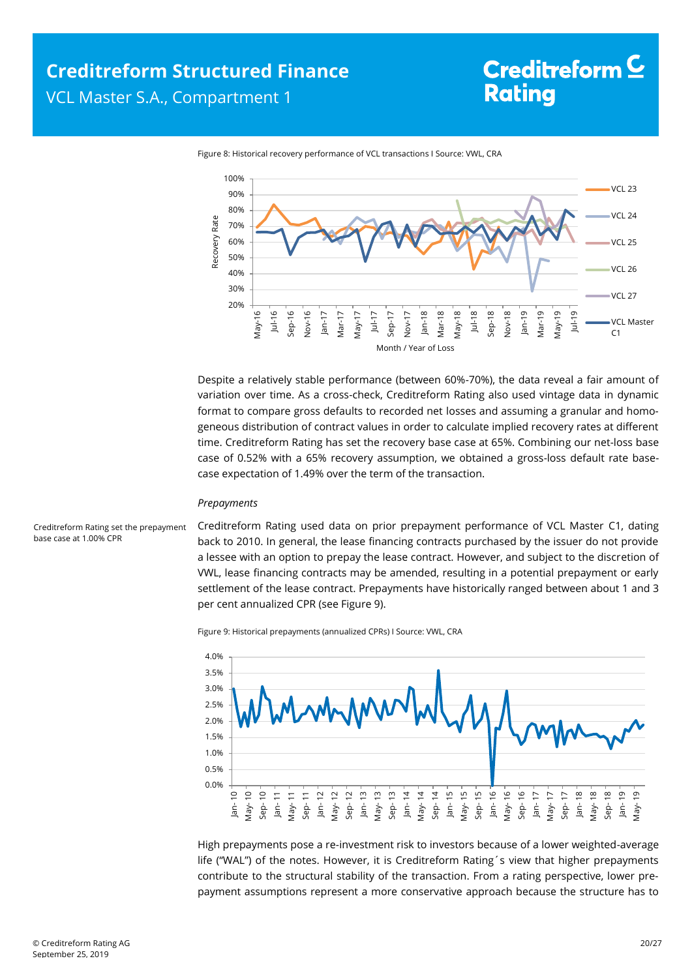<span id="page-19-0"></span>

Figure 8: Historical recovery performance of VCL transactions I Source: VWL, CRA

Despite a relatively stable performance (between 60%-70%), the data reveal a fair amount of variation over time. As a cross-check, Creditreform Rating also used vintage data in dynamic format to compare gross defaults to recorded net losses and assuming a granular and homogeneous distribution of contract values in order to calculate implied recovery rates at different time. Creditreform Rating has set the recovery base case at 65%. Combining our net-loss base case of 0.52% with a 65% recovery assumption, we obtained a gross-loss default rate basecase expectation of 1.49% over the term of the transaction.

#### *Prepayments*

<span id="page-19-1"></span>Creditreform Rating set the prepayment base case at 1.00% CPR

Creditreform Rating used data on prior prepayment performance of VCL Master C1, dating back to 2010. In general, the lease financing contracts purchased by the issuer do not provide a lessee with an option to prepay the lease contract. However, and subject to the discretion of VWL, lease financing contracts may be amended, resulting in a potential prepayment or early settlement of the lease contract. Prepayments have historically ranged between about 1 and 3 per cent annualized CPR (se[e Figure 9\).](#page-19-1)

Figure 9: Historical prepayments (annualized CPRs) I Source: VWL, CRA



High prepayments pose a re-investment risk to investors because of a lower weighted-average life ("WAL") of the notes. However, it is Creditreform Rating´s view that higher prepayments contribute to the structural stability of the transaction. From a rating perspective, lower prepayment assumptions represent a more conservative approach because the structure has to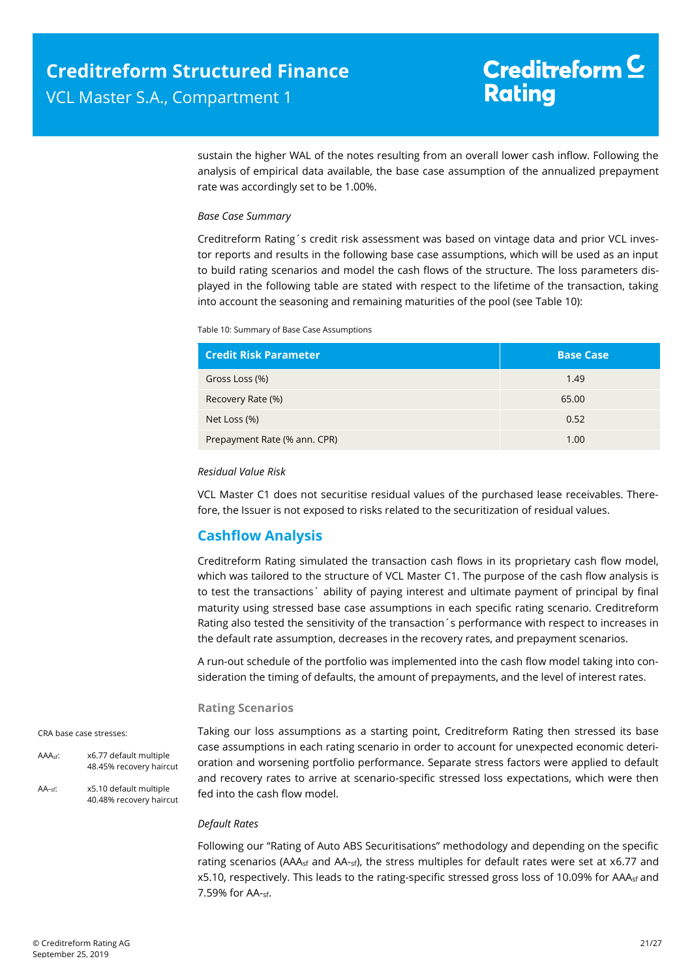sustain the higher WAL of the notes resulting from an overall lower cash inflow. Following the analysis of empirical data available, the base case assumption of the annualized prepayment rate was accordingly set to be 1.00%.

#### *Base Case Summary*

Creditreform Rating´s credit risk assessment was based on vintage data and prior VCL investor reports and results in the following base case assumptions, which will be used as an input to build rating scenarios and model the cash flows of the structure. The loss parameters displayed in the following table are stated with respect to the lifetime of the transaction, taking into account the seasoning and remaining maturities of the pool (see [Table 10\)](#page-20-1):

<span id="page-20-1"></span>Table 10: Summary of Base Case Assumptions

| <b>Credit Risk Parameter.</b> | <b>Base Case</b> |
|-------------------------------|------------------|
| Gross Loss (%)                | 1.49             |
| Recovery Rate (%)             | 65.00            |
| Net Loss (%)                  | 0.52             |
| Prepayment Rate (% ann. CPR)  | 1.00             |

#### *Residual Value Risk*

VCL Master C1 does not securitise residual values of the purchased lease receivables. Therefore, the Issuer is not exposed to risks related to the securitization of residual values.

### <span id="page-20-0"></span>**Cashflow Analysis**

Creditreform Rating simulated the transaction cash flows in its proprietary cash flow model, which was tailored to the structure of VCL Master C1. The purpose of the cash flow analysis is to test the transactions´ ability of paying interest and ultimate payment of principal by final maturity using stressed base case assumptions in each specific rating scenario. Creditreform Rating also tested the sensitivity of the transaction´s performance with respect to increases in the default rate assumption, decreases in the recovery rates, and prepayment scenarios.

A run-out schedule of the portfolio was implemented into the cash flow model taking into consideration the timing of defaults, the amount of prepayments, and the level of interest rates.

#### **Rating Scenarios**

CRA base case stresses:

AAAsf: x6.77 default multiple 48.45% recovery haircut

AA-sf: x5.10 default multiple 40.48% recovery haircut Taking our loss assumptions as a starting point, Creditreform Rating then stressed its base case assumptions in each rating scenario in order to account for unexpected economic deterioration and worsening portfolio performance. Separate stress factors were applied to default and recovery rates to arrive at scenario-specific stressed loss expectations, which were then fed into the cash flow model.

#### *Default Rates*

Following our "Rating of Auto ABS Securitisations" methodology and depending on the specific rating scenarios (AAA<sub>sf</sub> and AA-<sub>sf</sub>), the stress multiples for default rates were set at x6.77 and x5.10, respectively. This leads to the rating-specific stressed gross loss of 10.09% for AAA<sub>sf</sub> and 7.59% for AA-sf.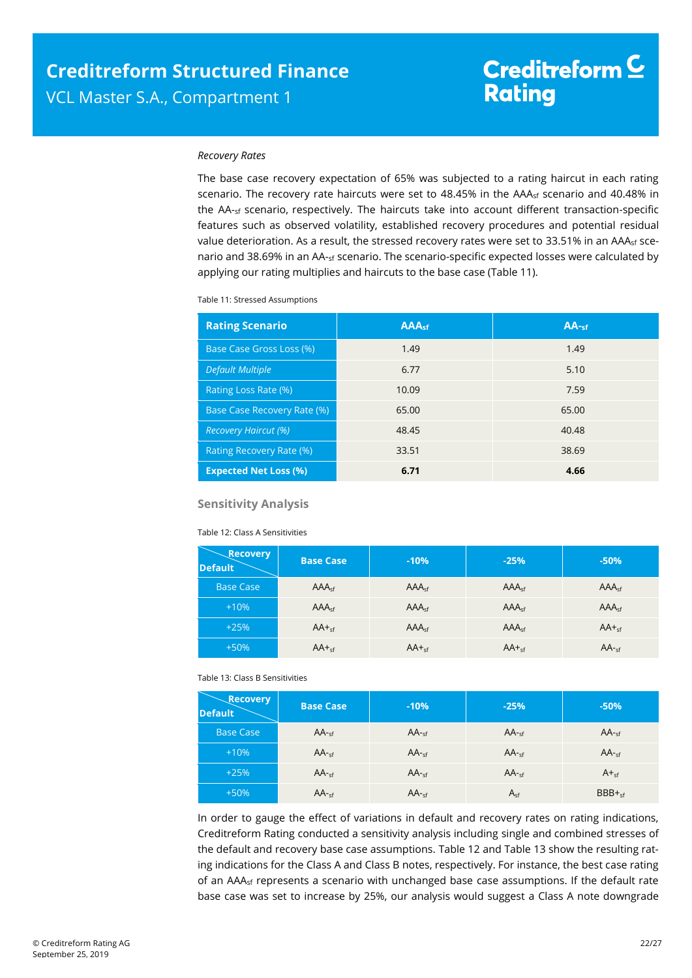#### *Recovery Rates*

The base case recovery expectation of 65% was subjected to a rating haircut in each rating scenario. The recovery rate haircuts were set to  $48.45\%$  in the AAA<sub>sf</sub> scenario and  $40.48\%$  in the AA-sf scenario, respectively. The haircuts take into account different transaction-specific features such as observed volatility, established recovery procedures and potential residual value deterioration. As a result, the stressed recovery rates were set to 33.51% in an AAA<sub>sf</sub> scenario and 38.69% in an AA-sf scenario. The scenario-specific expected losses were calculated by applying our rating multiplies and haircuts to the base case [\(Table 11\)](#page-21-0).

<span id="page-21-0"></span>Table 11: Stressed Assumptions

| <b>Rating Scenario</b>       | <b>AAAst</b> | $AA-sf$ |
|------------------------------|--------------|---------|
| Base Case Gross Loss (%)     | 1.49         | 1.49    |
| <b>Default Multiple</b>      | 6.77         | 5.10    |
| Rating Loss Rate (%)         | 10.09        | 7.59    |
| Base Case Recovery Rate (%)  | 65.00        | 65.00   |
| <b>Recovery Haircut (%)</b>  | 48.45        | 40.48   |
| Rating Recovery Rate (%)     | 33.51        | 38.69   |
| <b>Expected Net Loss (%)</b> | 6.71         | 4.66    |

#### **Sensitivity Analysis**

#### Table 12: Class A Sensitivities

<span id="page-21-1"></span>

| <b>Recovery</b><br><b>Default</b> | <b>Base Case</b>  | $-10%$            | $-25%$            | $-50%$            |
|-----------------------------------|-------------------|-------------------|-------------------|-------------------|
| <b>Base Case</b>                  | AAA <sub>sf</sub> | AAA <sub>sf</sub> | AAA <sub>sf</sub> | AAA <sub>sf</sub> |
| $+10%$                            | AAA <sub>cf</sub> | AAA <sub>sf</sub> | AAA <sub>cf</sub> | AAA <sub>cf</sub> |
| $+25%$                            | $AA +sf$          | AAA <sub>sf</sub> | AAA <sub>sf</sub> | $AA +sf$          |
| $+50%$                            | $AA +_{sf}$       | $AA +_{sf}$       | $AA +_{sf}$       | $AA$ -sf          |

#### Table 13: Class B Sensitivities

<span id="page-21-2"></span>

| <b>Recovery</b><br><b>Default</b> | <b>Base Case</b> | $-10%$   | $-25%$   | $-50%$          |
|-----------------------------------|------------------|----------|----------|-----------------|
| <b>Base Case</b>                  | $AA -sf$         | $AA -sf$ | $AA -sf$ | $AA -sf$        |
| $+10%$                            | $AA -sf$         | $AA -sf$ | $AA -cf$ | $AA -sf$        |
| $+25%$                            | $AA -sf$         | $AA -cf$ | $AA -cf$ | $A_{\text{cf}}$ |
| $+50%$                            | $AA -sf$         | $AA -sf$ | $A_{sf}$ | $BBB +sf$       |

In order to gauge the effect of variations in default and recovery rates on rating indications, Creditreform Rating conducted a sensitivity analysis including single and combined stresses of the default and recovery base case assumptions. [Table 12](#page-21-1) and [Table 13](#page-21-2) show the resulting rating indications for the Class A and Class B notes, respectively. For instance, the best case rating of an AAA<sub>sf</sub> represents a scenario with unchanged base case assumptions. If the default rate base case was set to increase by 25%, our analysis would suggest a Class A note downgrade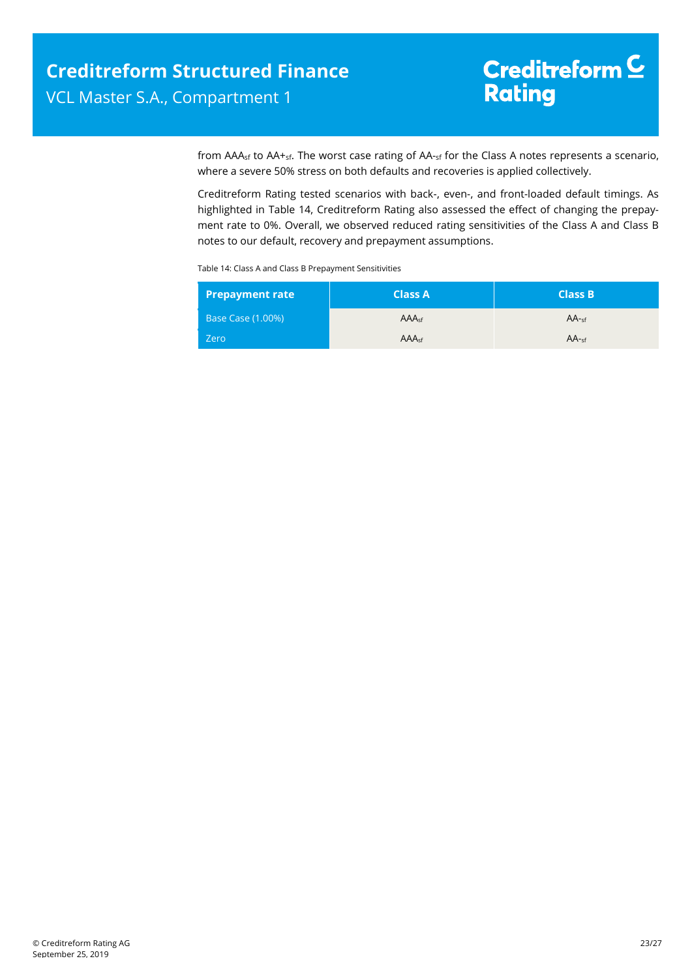from AAA<sub>sf</sub> to AA+<sub>sf</sub>. The worst case rating of AA-sf for the Class A notes represents a scenario, where a severe 50% stress on both defaults and recoveries is applied collectively.

Creditreform Rating tested scenarios with back-, even-, and front-loaded default timings. As highlighted in [Table 14,](#page-22-0) Creditreform Rating also assessed the effect of changing the prepayment rate to 0%. Overall, we observed reduced rating sensitivities of the Class A and Class B notes to our default, recovery and prepayment assumptions.

<span id="page-22-0"></span>Table 14: Class A and Class B Prepayment Sensitivities

| <b>Prepayment rate</b>   | <b>Class A</b>    | <b>Class B</b> |
|--------------------------|-------------------|----------------|
| <b>Base Case (1.00%)</b> | AAA <sub>cf</sub> | $AA -cf$       |
| Zero                     | AAA <sub>sf</sub> | $AA$ -sf       |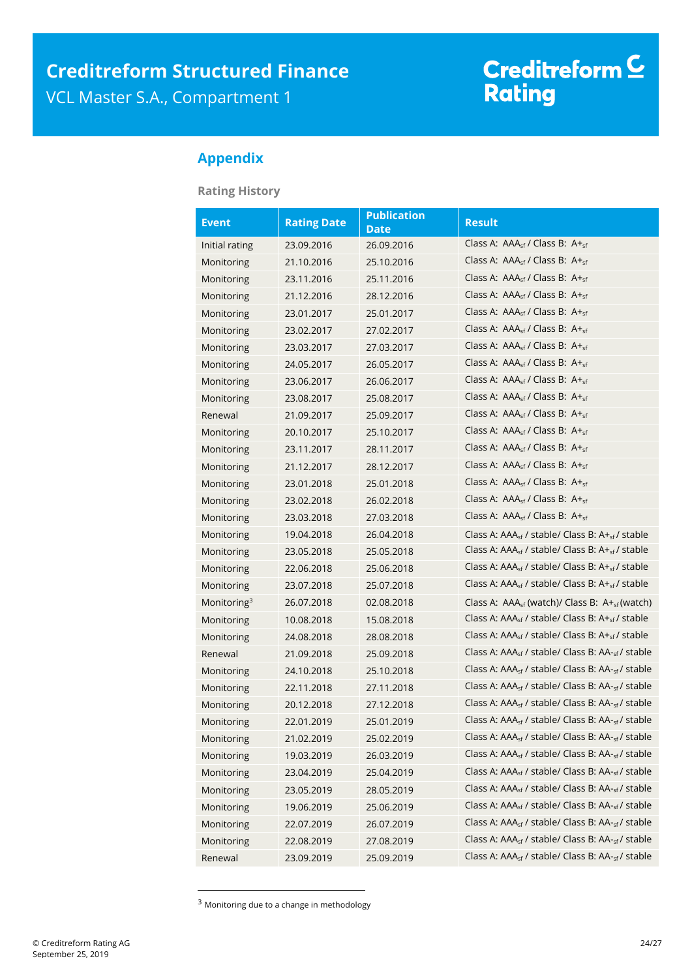# Creditreform C<br>Rating

### <span id="page-23-0"></span>**Appendix**

**Rating History**

| <b>Event</b>   | <b>Rating Date</b> | <b>Publication</b><br><b>Date</b> | <b>Result</b>                                                            |
|----------------|--------------------|-----------------------------------|--------------------------------------------------------------------------|
| Initial rating | 23.09.2016         | 26.09.2016                        | Class A: $AAA_{\rm cf}$ / Class B: $A_{\rm cf}$                          |
| Monitoring     | 21.10.2016         | 25.10.2016                        | Class A: AAA <sub>sf</sub> / Class B: A+ <sub>sf</sub>                   |
| Monitoring     | 23.11.2016         | 25.11.2016                        | Class A: $AAA_{\rm cf}$ / Class B: $A +_{\rm cf}$                        |
| Monitoring     | 21.12.2016         | 28.12.2016                        | Class A: $AAA_{sf}$ / Class B: $A +_{sf}$                                |
| Monitoring     | 23.01.2017         | 25.01.2017                        | Class A: $AAA_{sf}$ / Class B: $A +_{sf}$                                |
| Monitoring     | 23.02.2017         | 27.02.2017                        | Class A: $AAA_{sf}$ / Class B: $A +_{sf}$                                |
| Monitoring     | 23.03.2017         | 27.03.2017                        | Class A: $AAA_{sf}$ / Class B: $A +_{sf}$                                |
| Monitoring     | 24.05.2017         | 26.05.2017                        | Class A: AAA <sub>sf</sub> / Class B: A+ <sub>sf</sub>                   |
| Monitoring     | 23.06.2017         | 26.06.2017                        | Class A: $AAA_{sf}$ / Class B: $A +_{sf}$                                |
| Monitoring     | 23.08.2017         | 25.08.2017                        | Class A: AAA <sub>sf</sub> / Class B: A+ <sub>sf</sub>                   |
| Renewal        | 21.09.2017         | 25.09.2017                        | Class A: $AAA_{\rm sf}$ / Class B: $A +_{\rm sf}$                        |
| Monitoring     | 20.10.2017         | 25.10.2017                        | Class A: $AAA_{sf}$ / Class B: $A+_{sf}$                                 |
| Monitoring     | 23.11.2017         | 28.11.2017                        | Class A: $AAA_{\rm sf}$ / Class B: $A +_{\rm sf}$                        |
| Monitoring     | 21.12.2017         | 28.12.2017                        | Class A: $AAA_{sf}$ / Class B: $A+_{sf}$                                 |
| Monitoring     | 23.01.2018         | 25.01.2018                        | Class A: $AAA_{\rm cf}$ / Class B: $A +_{\rm cf}$                        |
| Monitoring     | 23.02.2018         | 26.02.2018                        | Class A: $AAA_{sf}$ / Class B: $A +_{sf}$                                |
| Monitoring     | 23.03.2018         | 27.03.2018                        | Class A: $AAA_{sf}$ / Class B: $A +_{sf}$                                |
| Monitoring     | 19.04.2018         | 26.04.2018                        | Class A: AAA <sub>sf</sub> / stable/ Class B: A+ <sub>sf</sub> / stable  |
| Monitoring     | 23.05.2018         | 25.05.2018                        | Class A: AAA <sub>sf</sub> / stable/ Class B: A+ <sub>sf</sub> / stable  |
| Monitoring     | 22.06.2018         | 25.06.2018                        | Class A: AAA <sub>sf</sub> / stable/ Class B: A+ <sub>sf</sub> / stable  |
| Monitoring     | 23.07.2018         | 25.07.2018                        | Class A: AAA <sub>sf</sub> / stable/ Class B: A+ <sub>sf</sub> / stable  |
| Monitoring $3$ | 26.07.2018         | 02.08.2018                        | Class A: $AAA_{sf}$ (watch)/ Class B: $A+_{sf}$ (watch)                  |
| Monitoring     | 10.08.2018         | 15.08.2018                        | Class A: $AAA_{sf}$ / stable/ Class B: $A+_{sf}$ / stable                |
| Monitoring     | 24.08.2018         | 28.08.2018                        | Class A: $AAA_{sf}$ / stable/ Class B: $A+_{sf}$ / stable                |
| Renewal        | 21.09.2018         | 25.09.2018                        | Class A: AAA <sub>sf</sub> / stable/ Class B: AA- <sub>sf</sub> / stable |
| Monitoring     | 24.10.2018         | 25.10.2018                        | Class A: AAA <sub>sf</sub> / stable/ Class B: AA- <sub>sf</sub> / stable |
| Monitoring     | 22.11.2018         | 27.11.2018                        | Class A: AAA <sub>sf</sub> / stable/ Class B: AA- <sub>sf</sub> / stable |
| Monitoring     | 20.12.2018         | 27.12.2018                        | Class A: $AAA_{sf}$ / stable/ Class B: $AA_{sf}$ / stable                |
| Monitoring     | 22.01.2019         | 25.01.2019                        | Class A: AAA <sub>sf</sub> / stable/ Class B: AA- <sub>sf</sub> / stable |
| Monitoring     | 21.02.2019         | 25.02.2019                        | Class A: AAA <sub>sf</sub> / stable/ Class B: AA- <sub>sf</sub> / stable |
| Monitoring     | 19.03.2019         | 26.03.2019                        | Class A: AAA <sub>sf</sub> / stable/ Class B: AA- <sub>sf</sub> / stable |
| Monitoring     | 23.04.2019         | 25.04.2019                        | Class A: AAA <sub>sf</sub> / stable/ Class B: AA- <sub>sf</sub> / stable |
| Monitoring     | 23.05.2019         | 28.05.2019                        | Class A: AAA <sub>sf</sub> / stable/ Class B: AA- <sub>sf</sub> / stable |
| Monitoring     | 19.06.2019         | 25.06.2019                        | Class A: AAA <sub>sf</sub> / stable/ Class B: AA- <sub>sf</sub> / stable |
| Monitoring     | 22.07.2019         | 26.07.2019                        | Class A: AAA <sub>sf</sub> / stable/ Class B: AA- <sub>sf</sub> / stable |
| Monitoring     | 22.08.2019         | 27.08.2019                        | Class A: AAA <sub>sf</sub> / stable/ Class B: AA- <sub>sf</sub> / stable |
| Renewal        | 23.09.2019         | 25.09.2019                        | Class A: AAA <sub>sf</sub> / stable/ Class B: AA- <sub>sf</sub> / stable |

<sup>&</sup>lt;sup>3</sup> Monitoring due to a change in methodology

 $\overline{a}$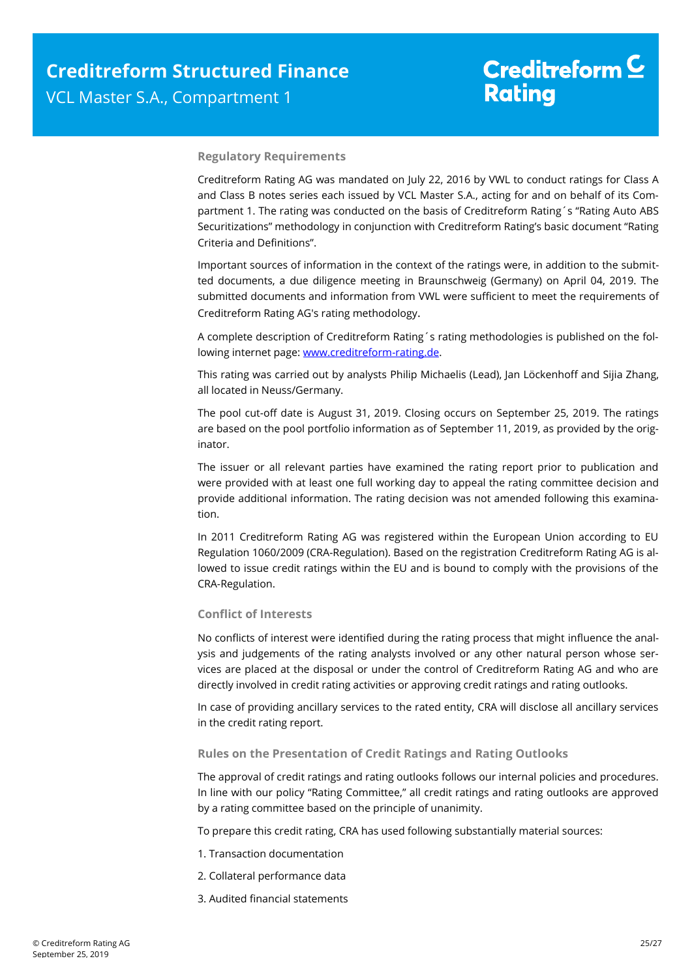#### **Regulatory Requirements**

Creditreform Rating AG was mandated on July 22, 2016 by VWL to conduct ratings for Class A and Class B notes series each issued by VCL Master S.A., acting for and on behalf of its Compartment 1. The rating was conducted on the basis of Creditreform Rating´s "Rating Auto ABS Securitizations" methodology in conjunction with Creditreform Rating's basic document "Rating Criteria and Definitions".

Important sources of information in the context of the ratings were, in addition to the submitted documents, a due diligence meeting in Braunschweig (Germany) on April 04, 2019. The submitted documents and information from VWL were sufficient to meet the requirements of Creditreform Rating AG's rating methodology.

A complete description of Creditreform Rating´s rating methodologies is published on the following internet page: [www.creditreform-rating.de.](http://www.creditreform-rating.de/)

This rating was carried out by analysts Philip Michaelis (Lead), Jan Löckenhoff and Sijia Zhang, all located in Neuss/Germany.

The pool cut-off date is August 31, 2019. Closing occurs on September 25, 2019. The ratings are based on the pool portfolio information as of September 11, 2019, as provided by the originator.

The issuer or all relevant parties have examined the rating report prior to publication and were provided with at least one full working day to appeal the rating committee decision and provide additional information. The rating decision was not amended following this examination.

In 2011 Creditreform Rating AG was registered within the European Union according to EU Regulation 1060/2009 (CRA-Regulation). Based on the registration Creditreform Rating AG is allowed to issue credit ratings within the EU and is bound to comply with the provisions of the CRA-Regulation.

#### **Conflict of Interests**

No conflicts of interest were identified during the rating process that might influence the analysis and judgements of the rating analysts involved or any other natural person whose services are placed at the disposal or under the control of Creditreform Rating AG and who are directly involved in credit rating activities or approving credit ratings and rating outlooks.

In case of providing ancillary services to the rated entity, CRA will disclose all ancillary services in the credit rating report.

#### **Rules on the Presentation of Credit Ratings and Rating Outlooks**

The approval of credit ratings and rating outlooks follows our internal policies and procedures. In line with our policy "Rating Committee," all credit ratings and rating outlooks are approved by a rating committee based on the principle of unanimity.

To prepare this credit rating, CRA has used following substantially material sources:

- 1. Transaction documentation
- 2. Collateral performance data
- 3. Audited financial statements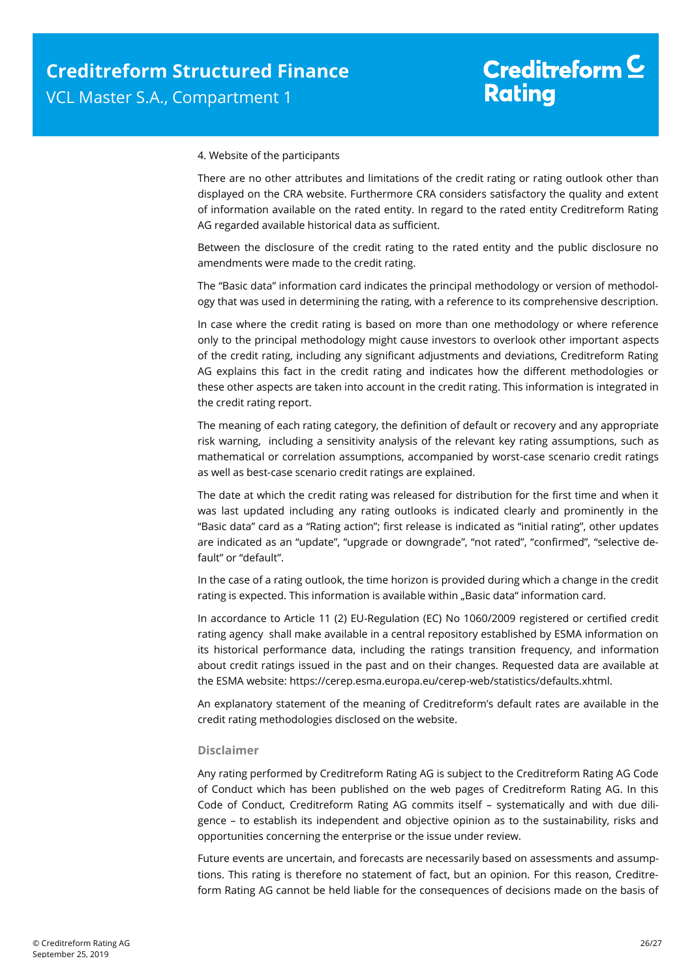#### 4. Website of the participants

There are no other attributes and limitations of the credit rating or rating outlook other than displayed on the CRA website. Furthermore CRA considers satisfactory the quality and extent of information available on the rated entity. In regard to the rated entity Creditreform Rating AG regarded available historical data as sufficient.

Between the disclosure of the credit rating to the rated entity and the public disclosure no amendments were made to the credit rating.

The "Basic data" information card indicates the principal methodology or version of methodology that was used in determining the rating, with a reference to its comprehensive description.

In case where the credit rating is based on more than one methodology or where reference only to the principal methodology might cause investors to overlook other important aspects of the credit rating, including any significant adjustments and deviations, Creditreform Rating AG explains this fact in the credit rating and indicates how the different methodologies or these other aspects are taken into account in the credit rating. This information is integrated in the credit rating report.

The meaning of each rating category, the definition of default or recovery and any appropriate risk warning, including a sensitivity analysis of the relevant key rating assumptions, such as mathematical or correlation assumptions, accompanied by worst-case scenario credit ratings as well as best-case scenario credit ratings are explained.

The date at which the credit rating was released for distribution for the first time and when it was last updated including any rating outlooks is indicated clearly and prominently in the "Basic data" card as a "Rating action"; first release is indicated as "initial rating", other updates are indicated as an "update", "upgrade or downgrade", "not rated", "confirmed", "selective default" or "default".

In the case of a rating outlook, the time horizon is provided during which a change in the credit rating is expected. This information is available within "Basic data" information card.

In accordance to Article 11 (2) EU-Regulation (EC) No 1060/2009 registered or certified credit rating agency shall make available in a central repository established by ESMA information on its historical performance data, including the ratings transition frequency, and information about credit ratings issued in the past and on their changes. Requested data are available at the ESMA website: https://cerep.esma.europa.eu/cerep-web/statistics/defaults.xhtml.

An explanatory statement of the meaning of Creditreform's default rates are available in the credit rating methodologies disclosed on the website.

#### **Disclaimer**

Any rating performed by Creditreform Rating AG is subject to the Creditreform Rating AG Code of Conduct which has been published on the web pages of Creditreform Rating AG. In this Code of Conduct, Creditreform Rating AG commits itself – systematically and with due diligence – to establish its independent and objective opinion as to the sustainability, risks and opportunities concerning the enterprise or the issue under review.

Future events are uncertain, and forecasts are necessarily based on assessments and assumptions. This rating is therefore no statement of fact, but an opinion. For this reason, Creditreform Rating AG cannot be held liable for the consequences of decisions made on the basis of